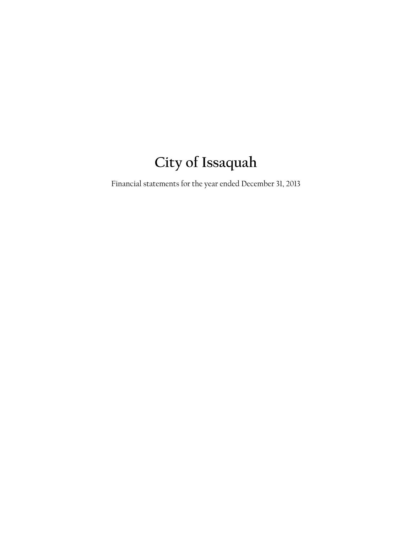# **City of Issaquah**

Financial statements for the year ended December 31, 2013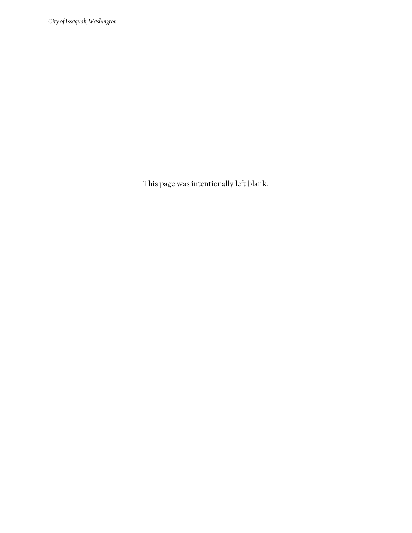This page was intentionally left blank.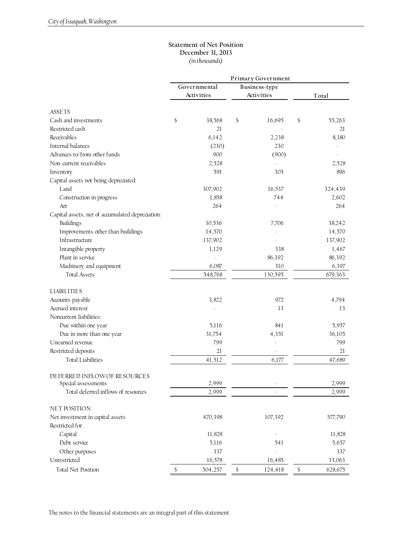# **Statement of Net Position December 31, 2013** *(in thousands)*

|                                                  | Primary Government |              |      |               |    |         |
|--------------------------------------------------|--------------------|--------------|------|---------------|----|---------|
|                                                  |                    | Governmental |      | Business-type |    |         |
|                                                  |                    | Activities   |      | Activities    |    | Total   |
| <b>ASSETS</b>                                    |                    |              |      |               |    |         |
| Cash and investments                             | \$                 | 38,568       | \$   | 16,695        | \$ | 55,263  |
| Restricted cash                                  |                    | 21           |      |               |    | 21      |
| Receivables                                      |                    | 6,142        |      | 2,238         |    | 8,380   |
| Internal balances                                |                    | (230)        |      | 230           |    |         |
| Advances to/from other funds                     |                    | 900          |      | (900)         |    |         |
| Non-current receivables                          |                    | 2,528        |      |               |    | 2,528   |
| Inventory                                        |                    | 591          |      | 305           |    | 896     |
| Capital assets not being depreciated:            |                    |              |      |               |    |         |
| Land                                             |                    | 307,902      |      | 16,537        |    | 324,439 |
| Construction in progress                         |                    | 1,858        |      | 744           |    | 2,602   |
| Art                                              |                    | 264          |      |               |    | 264     |
| Capital assets, net of accumulated depreciation: |                    |              |      |               |    |         |
| <b>Buildings</b>                                 |                    | 30,536       |      | 7,706         |    | 38,242  |
| Improvements other than buildings                |                    | 14,570       |      |               |    | 14,570  |
| Infrastructure                                   |                    | 137,902      |      |               |    | 137,902 |
| Intangible property                              |                    | 1,129        |      | 338           |    | 1,467   |
| Plant in service                                 |                    |              |      | 86,392        |    | 86,392  |
| Machinery and equipment                          |                    | 6,087        |      | 310           |    | 6,397   |
| <b>Total Assets</b>                              |                    | 548,768      |      | 130,595       |    | 679,363 |
| <b>LIABILITIES</b>                               |                    |              |      |               |    |         |
| Accounts payable                                 |                    | 3,822        |      | 972           |    | 4,794   |
| Accrued interest                                 |                    |              |      | 13            |    | 13      |
| Noncurrent liabilities:                          |                    |              |      |               |    |         |
| Due within one year                              |                    | 5,116        |      | 841           |    | 5,957   |
| Due in more than one year                        |                    | 31,754       |      | 4,351         |    | 36,105  |
| Unearned revenue                                 |                    | 799          |      | ż             |    | 799     |
| Restricted deposits                              |                    | 21           |      |               |    | 21      |
| <b>Total Liabilities</b>                         |                    | 41,512       |      | 6,177         |    | 47,689  |
| DEFERRED INFLOWOF RESOURCES                      |                    |              |      |               |    |         |
| Special assessments                              |                    | 2,999        |      |               |    | 2,999   |
| Total deferred inflows of resources              |                    | 2,999        |      |               |    | 2,999   |
| NET POSITION                                     |                    |              |      |               |    |         |
| Net investment in capital assets                 |                    | 470,398      |      | 107,392       |    | 577,790 |
| Restricted for:                                  |                    |              |      |               |    |         |
| Capital                                          |                    | 11,828       |      |               |    | 11,828  |
| Debt service                                     |                    | 5,116        |      | 541           |    | 5,657   |
| Other purposes                                   |                    | 337          |      |               |    | 337     |
| Unrestricted                                     |                    | 16,578       |      | 16,485        |    | 33,063  |
| <b>Total Net Position</b>                        | \$                 | 504,257      | $\,$ | 124,418       | \$ | 628,675 |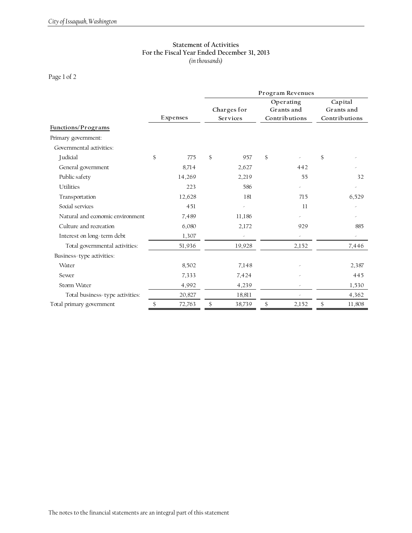## **Statement of Activities For the Fiscal Year Ended December 31, 2013** *(in thousands)*

Page 1 of 2

|                                  |           | Program Revenues        |        |    |                                          |    |                                        |  |  |  |
|----------------------------------|-----------|-------------------------|--------|----|------------------------------------------|----|----------------------------------------|--|--|--|
|                                  | Expenses  | Charges for<br>Services |        |    | Operating<br>Grants and<br>Contributions |    | Capital<br>Grants and<br>Contributions |  |  |  |
| Functions/Programs               |           |                         |        |    |                                          |    |                                        |  |  |  |
| Primary government:              |           |                         |        |    |                                          |    |                                        |  |  |  |
| Governmental activities:         |           |                         |        |    |                                          |    |                                        |  |  |  |
| Judicial                         | \$<br>775 | $\mathfrak{S}$          | 957    | \$ |                                          | \$ |                                        |  |  |  |
| General government               | 8,714     |                         | 2,627  |    | 442                                      |    |                                        |  |  |  |
| Public safety                    | 14,269    |                         | 2,219  |    | 55                                       |    | 32                                     |  |  |  |
| Utilities                        | 223       |                         | 586    |    |                                          |    |                                        |  |  |  |
| Transportation                   | 12,628    |                         | 181    |    | 715                                      |    | 6,529                                  |  |  |  |
| Social services                  | 451       |                         |        |    | 11                                       |    |                                        |  |  |  |
| Natural and economic environment | 7,489     |                         | 11,186 |    |                                          |    |                                        |  |  |  |
| Culture and recreation           | 6,080     |                         | 2,172  |    | 929                                      |    | 885                                    |  |  |  |
| Interest on long-term debt       | 1,307     |                         | k,     |    |                                          |    |                                        |  |  |  |
| Total governmental activities:   | 51,936    |                         | 19,928 |    | 2,152                                    |    | 7,446                                  |  |  |  |
| Business-type activities:        |           |                         |        |    |                                          |    |                                        |  |  |  |
| Water                            | 8,502     |                         | 7,148  |    |                                          |    | 2,387                                  |  |  |  |
| Sewer                            | 7,333     |                         | 7,424  |    |                                          |    | 445                                    |  |  |  |
| <b>Storm Water</b>               | 4,992     |                         | 4,239  |    | ×                                        |    | 1,530                                  |  |  |  |
| Total business-type activities:  | 20,827    |                         | 18,811 |    | ×,                                       |    | 4,362                                  |  |  |  |
| Total primary government         | 72,763    | \$                      | 38,739 | S  | 2,152                                    | \$ | 11,808                                 |  |  |  |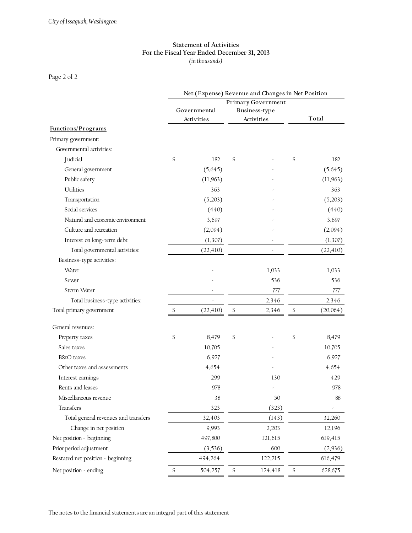## **Statement of Activities For the Fiscal Year Ended December 31, 2013** *(in thousands)*

Page 2 of 2

| Net (Expense) Revenue and Changes in Net Position |                    |              |    |               |              |           |  |  |  |  |
|---------------------------------------------------|--------------------|--------------|----|---------------|--------------|-----------|--|--|--|--|
|                                                   | Primary Government |              |    |               |              |           |  |  |  |  |
|                                                   |                    | Governmental |    | Business-type |              |           |  |  |  |  |
|                                                   | Activities         |              |    | Activities    | Total        |           |  |  |  |  |
| Functions/Programs                                |                    |              |    |               |              |           |  |  |  |  |
| Primary government:                               |                    |              |    |               |              |           |  |  |  |  |
| Governmental activities:                          |                    |              |    |               |              |           |  |  |  |  |
| Judicial                                          | \$                 | 182          | \$ |               | \$           | 182       |  |  |  |  |
| General government                                |                    | (5,645)      |    |               |              | (5,645)   |  |  |  |  |
| Public safety                                     |                    | (11, 963)    |    |               |              | (11, 963) |  |  |  |  |
| <b>Utilities</b>                                  |                    | 363          |    |               |              | 363       |  |  |  |  |
| Transportation                                    |                    | (5,203)      |    |               |              | (5,203)   |  |  |  |  |
| Social services                                   |                    | (440)        |    |               |              | (440)     |  |  |  |  |
| Natural and economic environment                  |                    | 3,697        |    |               |              | 3,697     |  |  |  |  |
| Culture and recreation                            |                    | (2,094)      |    |               |              | (2,094)   |  |  |  |  |
| Interest on long-term debt                        |                    | (1, 307)     |    |               |              | (1, 307)  |  |  |  |  |
| Total governmental activities:                    |                    | (22, 410)    |    |               |              | (22, 410) |  |  |  |  |
| Business-type activities:                         |                    |              |    |               |              |           |  |  |  |  |
| Water                                             |                    |              |    | 1,033         |              | 1,033     |  |  |  |  |
| Sewer                                             |                    |              |    | 536           |              | 536       |  |  |  |  |
| Storm Water                                       |                    |              |    | 777           |              | 777       |  |  |  |  |
| Total business-type activities:                   |                    |              |    | 2,346         |              | 2,346     |  |  |  |  |
| Total primary government                          | \$                 | (22, 410)    | \$ | 2,346         | $\mathbb{S}$ | (20,064)  |  |  |  |  |
| General revenues:                                 |                    |              |    |               |              |           |  |  |  |  |
| Property taxes                                    | \$                 | 8,479        | \$ |               | \$           | 8,479     |  |  |  |  |
| Sales taxes                                       |                    | 10,705       |    |               |              | 10,705    |  |  |  |  |
| B&O taxes                                         |                    | 6,927        |    |               |              | 6,927     |  |  |  |  |
| Other taxes and assessments                       |                    | 4,654        |    |               |              | 4,654     |  |  |  |  |
| Interest earnings                                 |                    | 299          |    | 130           |              | 429       |  |  |  |  |
| Rents and leases                                  |                    | 978          |    |               |              | 978       |  |  |  |  |
| Miscellaneous revenue                             |                    | 38           |    | 50            |              | 88        |  |  |  |  |
| Transfers                                         |                    | 323          |    | (323)         |              |           |  |  |  |  |
| Total general revenues and transfers              |                    | 32,403       |    | (143)         |              | 32,260    |  |  |  |  |
| Change in net position                            |                    | 9,993        |    | 2,203         |              | 12,196    |  |  |  |  |
| Net position - beginning                          |                    | 497,800      |    | 121,615       |              | 619,415   |  |  |  |  |
| Prior period adjustment                           |                    | (3, 536)     |    | 600           |              | (2,936)   |  |  |  |  |
| Restated net position - beginning                 |                    | 494,264      |    | 122,215       |              | 616,479   |  |  |  |  |
| Net position - ending                             | \$                 | 504,257      | \$ | 124,418       | $\,$         | 628,675   |  |  |  |  |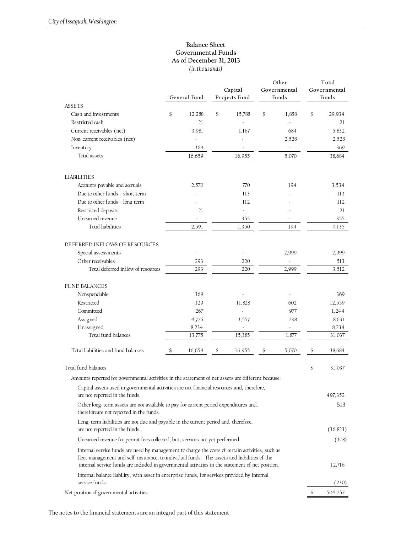## **Balance Sheet Governmental Funds As of December 31, 2013** *(in thousands)*

|                                                                                                                                                                                                                                                                                                     | General Fund | Capital<br>Projects Fund |        | Other<br>Governmental<br>Funds |    | Total<br>Governmental<br>Funds |
|-----------------------------------------------------------------------------------------------------------------------------------------------------------------------------------------------------------------------------------------------------------------------------------------------------|--------------|--------------------------|--------|--------------------------------|----|--------------------------------|
| <b>ASSETS</b>                                                                                                                                                                                                                                                                                       |              |                          |        |                                |    |                                |
| Cash and investments                                                                                                                                                                                                                                                                                | \$<br>12,288 | \$                       | 15,788 | \$<br>1,858                    | \$ | 29,934                         |
| Restricted cash                                                                                                                                                                                                                                                                                     | 21           |                          |        |                                |    | 21                             |
| Current receivables (net)                                                                                                                                                                                                                                                                           | 3,981        |                          | 1,167  | 684                            |    | 5,832                          |
| Non-current receivables (net)                                                                                                                                                                                                                                                                       | z            |                          |        | 2,528                          |    | 2,528                          |
| Inventory                                                                                                                                                                                                                                                                                           | 369          |                          |        | ł,                             |    | 369                            |
| Total assets                                                                                                                                                                                                                                                                                        | 16,659       |                          | 16,955 | 5,070                          |    | 38,684                         |
| <b>LIABILITIES</b>                                                                                                                                                                                                                                                                                  |              |                          |        |                                |    |                                |
| Accounts payable and accruals                                                                                                                                                                                                                                                                       | 2,570        |                          | 770    | 194                            |    | 3,534                          |
| Due to other funds - short term                                                                                                                                                                                                                                                                     |              |                          | 113    |                                |    | 113                            |
| Due to other funds - long term                                                                                                                                                                                                                                                                      |              |                          | 112    |                                |    | 112                            |
| Restricted deposits                                                                                                                                                                                                                                                                                 | 21           |                          |        |                                |    | 21                             |
| Unearned revenue                                                                                                                                                                                                                                                                                    |              |                          | 355    |                                |    | 355                            |
| <b>Total liabilities</b>                                                                                                                                                                                                                                                                            | 2,591        |                          | 1,350  | 194                            |    | 4,135                          |
| DEFERRED INFLOWS OF RESOURCES                                                                                                                                                                                                                                                                       |              |                          |        |                                |    |                                |
| Special assessments                                                                                                                                                                                                                                                                                 |              |                          |        | 2,999                          |    | 2,999                          |
| Other receivables                                                                                                                                                                                                                                                                                   | 293          |                          | 220    |                                |    | 513                            |
| Total deferred inflow of resources                                                                                                                                                                                                                                                                  | 293          |                          | 220    | 2,999                          |    | 3,512                          |
| <b>FUND BALANCES</b>                                                                                                                                                                                                                                                                                |              |                          |        |                                |    |                                |
| Nonspendable                                                                                                                                                                                                                                                                                        | 369          |                          |        | ×                              |    | 369                            |
| Restricted                                                                                                                                                                                                                                                                                          | 129          |                          | 11,828 | 602                            |    | 12,559                         |
| Committed                                                                                                                                                                                                                                                                                           | 267          |                          | J.     | 977                            |    | 1,244                          |
| Assigned                                                                                                                                                                                                                                                                                            | 4,776        |                          | 3,557  | 298                            |    | 8,631                          |
| Unassigned                                                                                                                                                                                                                                                                                          | 8,234        |                          |        |                                |    | 8,234                          |
| Total fund balances                                                                                                                                                                                                                                                                                 | 13,775       |                          | 15,385 | 1,877                          |    | 31,037                         |
| Total liabilities and fund balances                                                                                                                                                                                                                                                                 | \$<br>16,659 | \$                       | 16,955 | \$<br>5,070                    | \$ | 38,684                         |
| Total fund balances                                                                                                                                                                                                                                                                                 |              |                          |        |                                | \$ | 31,037                         |
| Amounts reported for governmental activities in the statement of net assets are different because:                                                                                                                                                                                                  |              |                          |        |                                |    |                                |
| Capital assets used in governmental activities are not financial resources and, therefore,                                                                                                                                                                                                          |              |                          |        |                                |    |                                |
| are not reported in the funds.                                                                                                                                                                                                                                                                      |              |                          |        |                                |    | 497,352                        |
| Other long-term assets are not available to pay for current period expenditures and,<br>thereforeare not reported in the funds.                                                                                                                                                                     |              |                          |        |                                |    | 513                            |
| Long-term liabilities are not due and payable in the current period and, therefore,<br>are not reported in the funds.                                                                                                                                                                               |              |                          |        |                                |    | (36, 823)                      |
| Unearned revenue for permit fees collected, but, services not yet performed.                                                                                                                                                                                                                        |              |                          |        |                                |    | (308)                          |
|                                                                                                                                                                                                                                                                                                     |              |                          |        |                                |    |                                |
| Internal service funds are used by management to charge the costs of certain activities, such as<br>fleet management and self-insurance, to individual funds. The assets and liabilities of the<br>internal service funds are included in governmental activities in the statement of net position. |              |                          |        |                                |    | 12,716                         |
| Internal balance liability, with asset in enterprise funds, for services provided by internal<br>service funds.                                                                                                                                                                                     |              |                          |        |                                |    | (230)                          |
| Net position of governmental activities                                                                                                                                                                                                                                                             |              |                          |        |                                | \$ | 504,257                        |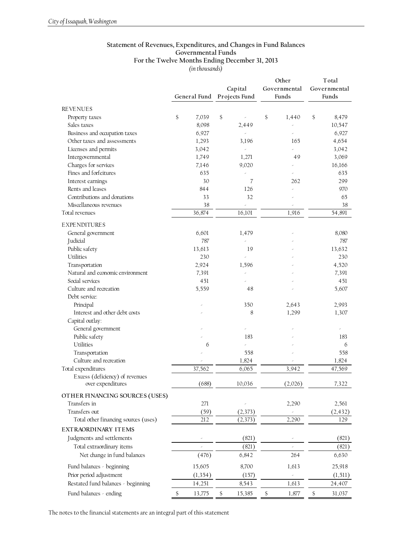## **Statement of Revenues, Expenditures, and Changes in Fund Balances Governmental Funds For the Twelve Months Ending December 31, 2013** *(in thousands)*

|                                      | Capital<br>General Fund<br>Projects Fund |          |              | Other<br>Governmental<br>Funds | Total<br>Governmental<br>Funds |         |              |          |
|--------------------------------------|------------------------------------------|----------|--------------|--------------------------------|--------------------------------|---------|--------------|----------|
| <b>REVENUES</b>                      |                                          |          |              |                                |                                |         |              |          |
| Property taxes                       | \$                                       | 7,039    | \$           |                                | \$                             | 1,440   | \$           | 8,479    |
| Sales taxes                          |                                          | 8,098    |              | 2,449                          |                                |         |              | 10,547   |
| Business and occupation taxes        |                                          | 6,927    |              | J.                             |                                |         |              | 6,927    |
| Other taxes and assessments          |                                          | 1,293    |              | 3,196                          |                                | 165     |              | 4,654    |
| Licenses and permits                 |                                          | 3,042    |              | J,                             |                                |         |              | 3,042    |
| Intergovernmental                    |                                          | 1,749    |              | 1,271                          |                                | 49      |              | 3,069    |
| Charges for services                 |                                          | 7,146    |              | 9,020                          |                                |         |              | 16,166   |
| Fines and forfeitures                |                                          | 635      |              |                                |                                |         |              | 635      |
| Interest earnings                    |                                          | 30       |              | $\overline{7}$                 |                                | 262     |              | 299      |
| Rents and leases                     |                                          | 844      |              | 126                            |                                |         |              | 970      |
| Contributions and donations          |                                          | 33       |              | 32                             |                                |         |              | 65       |
| Miscellaneous revenues               |                                          | 38       |              | ×,                             |                                |         |              | 38       |
| Total revenues                       |                                          | 36,874   |              | 16,101                         |                                | 1,916   |              | 54,891   |
| <b>EXPENDITURES</b>                  |                                          |          |              |                                |                                |         |              |          |
| General government                   |                                          | 6,601    |              | 1,479                          |                                |         |              | 8,080    |
| Judicial                             |                                          | 787      |              |                                |                                |         |              | 787      |
| Public safety                        |                                          | 13,613   |              | 19                             |                                |         |              | 13,632   |
| <b>Utilities</b>                     |                                          | 230      |              |                                |                                |         |              | 230      |
| Transportation                       |                                          | 2,924    |              | 1,596                          |                                |         |              | 4,520    |
| Natural and economic environment     |                                          | 7,391    |              |                                |                                |         |              | 7,391    |
| Social services                      |                                          | 451      |              |                                |                                |         |              | 451      |
| Culture and recreation               |                                          | 5,559    |              | 48                             |                                |         |              | 5,607    |
| Debt service:                        |                                          |          |              |                                |                                |         |              |          |
| Principal                            |                                          |          |              | 350                            |                                | 2,643   |              | 2,993    |
| Interest and other debt costs        |                                          |          |              | 8                              |                                | 1,299   |              | 1,307    |
| Capital outlay:                      |                                          |          |              |                                |                                |         |              |          |
| General government                   |                                          |          |              |                                |                                |         |              |          |
| Public safety                        |                                          |          |              | 183                            |                                |         |              | 183      |
| <b>Utilities</b>                     |                                          | 6        |              |                                |                                |         |              | 6        |
| Transportation                       |                                          |          |              | 558                            |                                |         |              | 558      |
| Culture and recreation               |                                          |          |              | 1,824                          |                                |         |              | 1,824    |
| Total expenditures                   |                                          | 37,562   |              | 6,065                          |                                | 3,942   |              | 47,569   |
| Excess (deficiency) of revenues      |                                          |          |              |                                |                                |         |              |          |
| over expenditures                    |                                          | (688)    |              | 10,036                         |                                | (2,026) |              | 7,322    |
| OTHER FINANCING SOURCES (USES)       |                                          |          |              |                                |                                |         |              |          |
| Transfers in                         |                                          | 271      |              |                                |                                | 2,290   |              | 2,561    |
| Transfers out                        |                                          | (59)     |              | (2, 373)                       |                                |         |              | (2, 432) |
| Total other financing sources (uses) |                                          | 212      |              | (2,373)                        |                                | 2,290   |              | 129      |
| EXTRAORDINARY ITEMS                  |                                          |          |              |                                |                                |         |              |          |
| Judgments and settlements            |                                          |          |              | (821)                          |                                |         |              | (821)    |
| Total extraordinary items            |                                          |          |              | (821)                          |                                |         |              | (821)    |
| Net change in fund balances          |                                          | (476)    |              | 6,842                          |                                | 264     |              | 6,630    |
| Fund balances - beginning            |                                          | 15,605   |              | 8,700                          |                                | 1,613   |              | 25,918   |
| Prior period adjustment              |                                          | (1, 354) |              | (157)                          |                                | ł.      |              | (1,511)  |
| Restated fund balances - beginning   |                                          | 14,251   |              | 8,543                          |                                | 1,613   |              | 24,407   |
| Fund balances - ending               | \$                                       | 13,775   | $\mathbb{S}$ | 15,385                         | $\,$                           | 1,877   | $\mathbb{S}$ | 31,037   |

The notes to the financial statements are an integral part of this statement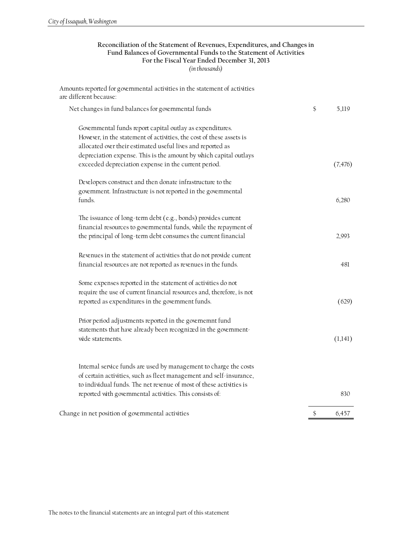#### **Reconciliation of the Statement of Revenues, Expenditures, and Changes in Fund Balances of Governmental Funds to the Statement of Activities For the Fiscal Year Ended December 31, 2013** *(in thousands)*

| Amounts reported for governmental activities in the statement of activities<br>are different because:                                                                                                                                                                                                                         |             |
|-------------------------------------------------------------------------------------------------------------------------------------------------------------------------------------------------------------------------------------------------------------------------------------------------------------------------------|-------------|
| Net changes in fund balances for governmental funds                                                                                                                                                                                                                                                                           | \$<br>5,119 |
| Governmental funds report capital outlay as expenditures.<br>However, in the statement of activities, the cost of these assets is<br>allocated over their estimated useful lives and reported as<br>depreciation expense. This is the amount by which capital outlays<br>exceeded depreciation expense in the current period. | (7, 476)    |
| Developers construct and then donate infrastructure to the<br>government. Infrastructure is not reported in the governmental<br>funds.                                                                                                                                                                                        | 6,280       |
| The issuance of long-term debt (e.g., bonds) provides current<br>financial resources to governmental funds, while the repayment of<br>the principal of long-term debt consumes the current financial                                                                                                                          | 2,993       |
| Revenues in the statement of activities that do not provide current<br>financial resources are not reported as revenues in the funds.                                                                                                                                                                                         | 481         |
| Some expenses reported in the statement of activities do not<br>require the use of current financial resources and, therefore, is not<br>reported as expenditures in the government funds.                                                                                                                                    | (629)       |
| Prior period adjustments reported in the governemnt fund<br>statements that have already been recognized in the government-<br>wide statements.                                                                                                                                                                               | (1,141)     |
| Internal service funds are used by management to charge the costs<br>of certain activities, such as fleet management and self-insurance,<br>to individual funds. The net revenue of most of these activities is<br>reported with governmental activities. This consists of:                                                   | 830         |
| Change in net position of governmental activities                                                                                                                                                                                                                                                                             | \$<br>6,457 |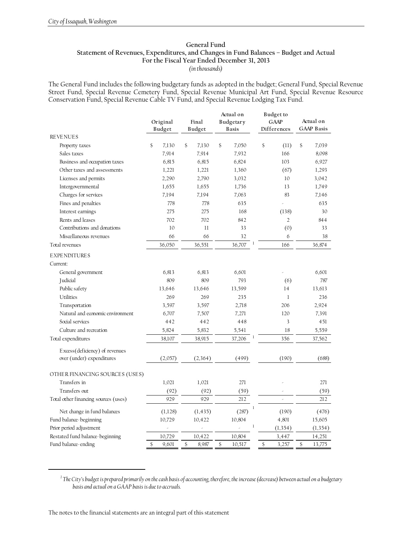#### **General Fund Statement of Revenues, Expenditures, and Changes in Fund Balances – Budget and Actual For the Fiscal Year Ended December 31, 2013** *(in thousands)*

The General Fund includes the following budgetary funds as adopted in the budget; General Fund, Special Revenue Street Fund, Special Revenue Cemetery Fund, Special Revenue Municipal Art Fund, Special Revenue Resource Conservation Fund, Special Revenue Cable TV Fund, and Special Revenue Lodging Tax Fund.<sup>1</sup>

|                                      | Original    | Final                 | Actual on<br>Budget to<br><b>GAAP</b><br>Budgetary |                | Actual on         |  |
|--------------------------------------|-------------|-----------------------|----------------------------------------------------|----------------|-------------------|--|
|                                      | Budget      | Budget                | <b>Basis</b>                                       | Differences    | <b>GAAP Basis</b> |  |
| <b>REVENUES</b>                      |             |                       |                                                    |                |                   |  |
| Property taxes                       | \$<br>7,130 | $\mathbb{S}$<br>7,130 | \$<br>7,050                                        | \$<br>(11)     | \$<br>7,039       |  |
| Sales taxes                          | 7,914       | 7,914                 | 7,932                                              | 166            | 8,098             |  |
| Business and occupation taxes        | 6,815       | 6,815                 | 6,824                                              | 103            | 6,927             |  |
| Other taxes and assessments          | 1,221       | 1,221                 | 1,360                                              | (67)           | 1,293             |  |
| Licenses and permits                 | 2,290       | 2,790                 | 3,032                                              | 10             | 3,042             |  |
| Intergovernmental                    | 1,655       | 1,655                 | 1,736                                              | 13             | 1,749             |  |
| Charges for services                 | 7,194       | 7,194                 | 7,063                                              | 83             | 7,146             |  |
| Fines and penalties                  | 778         | 778                   | 635                                                |                | 635               |  |
| Interest earnings                    | 275         | 275                   | 168                                                | (138)          | 30                |  |
| Rents and leases                     | 702         | 702                   | 842                                                | $\overline{2}$ | 844               |  |
| Contributions and donations          | 10          | 11                    | 33                                                 | (0)            | 33                |  |
| Miscellaneous revenues               | 66          | 66                    | 32                                                 | 6              | 38                |  |
| Total revenues                       | 36,050      | 36,551                | 36,707                                             | 166            | 36,874            |  |
| <b>EXPENDITURES</b>                  |             |                       |                                                    |                |                   |  |
| Current:                             |             |                       |                                                    |                |                   |  |
| General government                   | 6.813       | 6,813                 | 6.601                                              |                | 6.601             |  |
| Judicial                             | 809         | 809                   | 793                                                | (6)            | 787               |  |
| Public safety                        | 13,646      | 13,646                | 13,599                                             | 14             | 13,613            |  |
| Utilities                            | 269         | 269                   | 235                                                | 1              | 236               |  |
| Transportation                       | 3,597       | 3,597                 | 2,718                                              | 206            | 2,924             |  |
| Natural and economic environment     | 6,707       | 7,507                 | 7,271                                              | 120            | 7,391             |  |
| Social services                      | 442         | 442                   | 448                                                | 3              | 451               |  |
| Culture and recreation               | 5,824       | 5,832                 | 5,541                                              | 18             | 5,559             |  |
| Total expenditures                   | 38,107      | 38,915                | 1<br>37,206                                        | 356            | 37,562            |  |
| Excess(deficiency) of revenues       |             |                       |                                                    |                |                   |  |
| over (under) expenditures            | (2,057)     | (2,364)               | (499)                                              | (190)          | (688)             |  |
| OTHER FINANCING SOURCES (USES)       |             |                       |                                                    |                |                   |  |
| Transfers in                         | 1,021       | 1,021                 | 271                                                |                | 271               |  |
| Transfers out                        | (92)        | (92)                  | (59)                                               |                | (59)              |  |
| Total other financing sources (uses) | 929         | 929                   | 212                                                |                | 212               |  |
| Net change in fund balances          | (1,128)     | (1, 435)              | 1<br>(287)                                         | (190)          | (476)             |  |
| Fund balance-beginning               | 10,729      | 10,422                | 10,804                                             | 4,801          | 15,605            |  |
| Prior period adjustment              |             |                       | $\mathbf{I}$                                       | (1, 354)       | (1, 354)          |  |
| Restated fund balance-beginning      | 10,729      | 10,422                | 10,804                                             | 3,447          | 14,251            |  |
| Fund balance-ending                  | \$<br>9,601 | \$<br>8,987           | \$<br>10,517                                       | \$<br>3,257    | \$<br>13,775      |  |

*1 The City's budget is prepared primarily on the cash basis of accounting, therefore, the increase (decrease) between actual on a budgetary basis and actual on a GAAP basis is due to accruals.*

l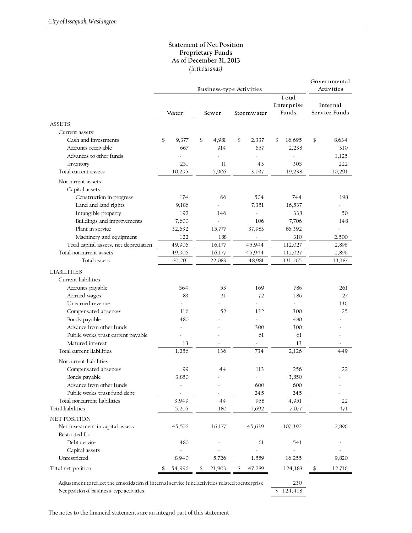#### **Statement of Net Position Proprietary Funds As of December 31, 2013** *(in thousands)*

|                                                                                                                                             |             |                                          | Governmental<br>Activities |                              |                           |
|---------------------------------------------------------------------------------------------------------------------------------------------|-------------|------------------------------------------|----------------------------|------------------------------|---------------------------|
|                                                                                                                                             | Water       | <b>Business-type Activities</b><br>Sewer | Stormwater                 | Total<br>Enterprise<br>Funds | Internal<br>Service Funds |
| <b>ASSETS</b>                                                                                                                               |             |                                          |                            |                              |                           |
| Current assets:                                                                                                                             |             |                                          |                            |                              |                           |
| Cash and investments                                                                                                                        | \$<br>9,377 | \$<br>4,981                              | \$<br>2,337                | 16,695<br>\$                 | \$<br>8,634               |
| Accounts receivable                                                                                                                         | 667         | 914                                      | 657                        | 2,238                        | 310                       |
| Advances to other funds                                                                                                                     |             |                                          |                            |                              | 1,125                     |
| Inventory                                                                                                                                   | 251         | 11                                       | 43                         | 305                          | 222                       |
| Total current assets                                                                                                                        | 10,295      | 5,906                                    | 3,037                      | 19,238                       | 10,291                    |
| Noncurrent assets:                                                                                                                          |             |                                          |                            |                              |                           |
| Capital assets:                                                                                                                             |             |                                          |                            |                              |                           |
| Construction in progress                                                                                                                    | 174         | 66                                       | 504                        | 744                          | 198                       |
| Land and land rights                                                                                                                        | 9,186       |                                          | 7,351                      | 16,537                       |                           |
| Intangible property                                                                                                                         | 192         | 146                                      |                            | 338                          | 50                        |
| Buildings and improvements                                                                                                                  | 7,600       |                                          | 106                        | 7,706                        | 148                       |
| Plant in service                                                                                                                            | 32,632      | 15,777                                   | 37,983                     | 86,392                       |                           |
| Machinery and equipment                                                                                                                     | 122         | 188                                      |                            | 310                          | 2,500                     |
| Total capital assets, net depreciation                                                                                                      | 49,906      | 16,177                                   | 45,944                     | 112,027                      | 2,896                     |
| Total noncurrent assets                                                                                                                     | 49,906      | 16,177                                   | 45,944                     | 112,027                      | 2,896                     |
| Total assets                                                                                                                                | 60,201      | 22,083                                   | 48,981                     | 131,265                      | 13,187                    |
| <b>LIABILITIES</b>                                                                                                                          |             |                                          |                            |                              |                           |
| Current liabilities:                                                                                                                        |             |                                          |                            |                              |                           |
| Accounts payable                                                                                                                            | 564         | 53                                       | 169                        | 786                          | 261                       |
| Accrued wages                                                                                                                               | 83          | 31                                       | 72                         | 186                          | 27                        |
| Unearned revenue                                                                                                                            |             |                                          | ×                          |                              | 136                       |
| Compensated absences                                                                                                                        | 116         | 52                                       | 132                        | 300                          | 25                        |
| Bonds payable                                                                                                                               | 480         |                                          | ×,                         | 480                          |                           |
| Advance from other funds                                                                                                                    |             |                                          | 300                        | 300                          |                           |
| Public works trust current payable                                                                                                          |             |                                          | 61                         | 61                           |                           |
| Matured interest                                                                                                                            | 13          |                                          | ×                          | 13                           |                           |
| Total current liabilities                                                                                                                   | 1,256       | 136                                      | 734                        | 2,126                        | 449                       |
| Noncurrent liabilities                                                                                                                      |             |                                          |                            |                              |                           |
| Compensated absences                                                                                                                        | 99          | 44                                       | 113                        | 256                          | 22                        |
| Bonds payable                                                                                                                               | 3,850       |                                          |                            | 3,850                        |                           |
| Advance from other funds                                                                                                                    |             |                                          | 600                        | 600                          |                           |
| Public works trust fund debt                                                                                                                |             |                                          | 245                        | 245                          |                           |
| Total noncurrent liabilities                                                                                                                | 3,949       | 44                                       | 958                        | 4,951                        | 22                        |
| Total liabilities                                                                                                                           | 5,205       | 180                                      | 1,692                      | 7,077                        | 471                       |
| NET POSITION                                                                                                                                |             |                                          |                            |                              |                           |
| Net investment in capital assets                                                                                                            | 45,576      | 16,177                                   | 45,639                     | 107,392                      | 2,896                     |
| Restricted for:                                                                                                                             |             |                                          |                            |                              |                           |
| Debt service                                                                                                                                | 480         |                                          | 61                         | 541                          |                           |
| Capital assets                                                                                                                              |             |                                          |                            |                              |                           |
| Unrestricted                                                                                                                                | 8,940       | 5,726                                    | 1,589                      | 16,255                       | 9,820                     |
| Total net position                                                                                                                          | 54,996      | 21,903                                   | 47,289                     | 124,188                      | \$<br>12,716              |
| Adjustment toreflect the consolidation of internal service fund activities related toenterprise<br>Net position of business-type activities |             |                                          |                            | 230<br>124,418<br>\$         |                           |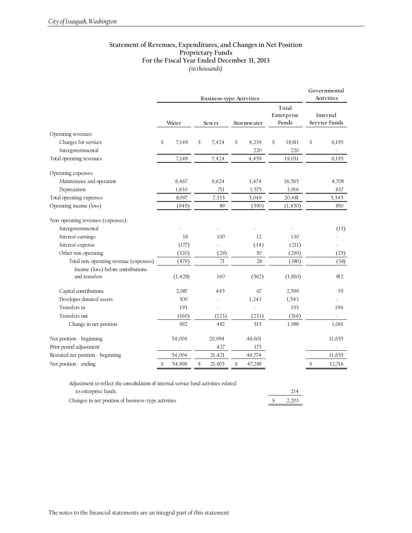#### **Statement of Revenues, Expenditures, and Changes in Net Position Proprietary Funds For the Fiscal Year Ended December 31, 2013** *(in thousands)*

|                                                                              |              |              | Governmental<br>Activities |                              |                           |  |
|------------------------------------------------------------------------------|--------------|--------------|----------------------------|------------------------------|---------------------------|--|
|                                                                              | Water        | Sewer        | Stormwater                 | Total<br>Enterprise<br>Funds | Internal<br>Service Funds |  |
| Operating revenues:                                                          |              |              |                            |                              |                           |  |
| Charges for services                                                         | \$<br>7,148  | \$<br>7,424  | 4,239<br>\$                | \$<br>18,811                 | \$<br>6,195               |  |
| Intergovernmental                                                            |              |              | 220                        | 220                          |                           |  |
| Total operating revenues                                                     | 7,148        | 7,424        | 4,459                      | 19,031                       | 6,195                     |  |
| Operating expenses:                                                          |              |              |                            |                              |                           |  |
| Maintenance and operation                                                    | 6,467        | 6,624        | 3,474                      | 16,565                       | 4,708                     |  |
| Depreciation                                                                 | 1,630        | 711          | 1,575                      | 3,916                        | 637                       |  |
| Total operating expenses                                                     | 8,097        | 7,335        | 5,049                      | 20,481                       | 5,345                     |  |
| Operating income (loss)                                                      | (949)        | 89           | (590)                      | (1, 450)                     | 850                       |  |
| Non-operating revenues (expenses):                                           |              |              |                            |                              |                           |  |
| Intergovernmental                                                            |              |              |                            |                              | (13)                      |  |
| Interest earnings                                                            | 18           | 100          | 12                         | 130                          |                           |  |
| Interest expense                                                             | (177)        |              | (34)                       | (211)                        |                           |  |
| Other non-operating                                                          | (320)        | (29)         | 50                         | (299)                        | (25)                      |  |
| Total non-operating revenue (expenses)<br>Income (loss) before contributions | (479)        | 71           | 28                         | (380)                        | (38)                      |  |
| and transfers                                                                | (1, 428)     | 160          | (562)                      | (1, 830)                     | 812                       |  |
| Capital contributions                                                        | 2,087        | 445          | 67                         | 2,599                        | 55                        |  |
| Developer donated assets                                                     | 300          |              | 1,243                      | 1,543                        |                           |  |
| Transfers in                                                                 | 193          | ×,           | ź                          | 193                          | 194                       |  |
| Transfers out                                                                | (160)        | (123)        | (233)                      | (516)                        |                           |  |
| Change in net position                                                       | 992          | 482          | 515                        | 1,989                        | 1,061                     |  |
| Net position - beginning                                                     | 54,004       | 20,994       | 46,601                     |                              | 11,655                    |  |
| Prior period adjustment                                                      |              | 427          | 173                        |                              |                           |  |
| Restated net position - beginning                                            | 54,004       | 21,421       | 46,774                     |                              | 11,655                    |  |
| Net position - ending                                                        | 54,996<br>\$ | \$<br>21,903 | 47,289<br>\$               |                              | \$<br>12,716              |  |

Adjustment to reflect the consolidation of internal service fund activities related to enterprise funds.

Changes in net position of business-type activities \$ 2,203

214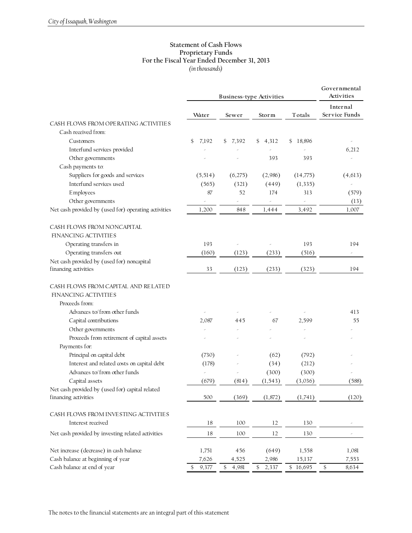#### **Statement of Cash Flows Proprietary Funds For the Fiscal Year Ended December 31, 2013** *(in thousands)*

|                                                             |             |             | Governmental<br>Activities      |              |                           |
|-------------------------------------------------------------|-------------|-------------|---------------------------------|--------------|---------------------------|
|                                                             |             |             | <b>Business-type Activities</b> |              |                           |
|                                                             | Water       | Sewer       | Storm                           | Totals       | Internal<br>Service Funds |
| CASH FLOWS FROM OPERATING ACTIVITIES                        |             |             |                                 |              |                           |
| Cash received from:                                         |             |             |                                 |              |                           |
| Customers                                                   | 7,192<br>\$ | \$<br>7,392 | 4,312<br>\$                     | 18,896<br>\$ |                           |
| Interfund services provided                                 |             |             |                                 |              | 6,212                     |
| Other governments                                           |             |             | 393                             | 393          |                           |
| Cash payments to:                                           |             |             |                                 |              |                           |
| Suppliers for goods and services                            | (5,514)     | (6,275)     | (2,986)                         | (14,775)     | (4,613)                   |
| Interfund services used                                     | (565)       | (321)       | (449)                           | (1, 335)     |                           |
| Employees                                                   | 87          | 52          | 174                             | 313          | (579)                     |
| Other governments                                           |             |             |                                 |              | (13)                      |
| Net cash provided by (used for) operating activities        | 1,200       | 848         | 1,444                           | 3,492        | 1,007                     |
| CASH FLOWS FROM NONCAPITAL<br><b>FINANCING ACTIVITIES</b>   |             |             |                                 |              |                           |
| Operating transfers in                                      | 193         |             |                                 | 193          | 194                       |
| Operating transfers out                                     | (160)       | (123)       | (233)                           | (516)        | ×,                        |
| Net cash provided by (used for) noncapital                  |             |             |                                 |              |                           |
| financing activities                                        | 33          | (123)       | (233)                           | (323)        | 194                       |
| CASH FLOWS FROM CAPITAL AND RELATED<br>FINANCING ACTIVITIES |             |             |                                 |              |                           |
| Proceeds from:                                              |             |             |                                 |              |                           |
| Advances to/from other funds                                |             |             |                                 |              | 413                       |
| Capital contributions                                       | 2,087       | 445         | 67                              | 2,599        | 55                        |
| Other governments                                           |             |             |                                 |              |                           |
| Proceeds from retirement of capital assets                  |             |             |                                 |              |                           |
| Payments for:                                               |             |             |                                 |              |                           |
| Principal on capital debt                                   | (730)       |             | (62)                            | (792)        |                           |
| Interest and related costs on capital debt                  | (178)       |             | (34)                            | (212)        |                           |
| Advances to/from other funds                                |             |             | (300)                           | (300)        |                           |
| Capital assets                                              | (679)       | (814)       | (1, 543)                        | (3,036)      | (588)                     |
| Net cash provided by (used for) capital related             |             |             |                                 |              |                           |
| financing activities                                        | 500         | (369)       | (1,872)                         | (1,741)      | (120)                     |
| CASH FLOWS FROM INVESTING ACTIVITIES                        |             |             |                                 |              |                           |
| Interest received                                           | 18          | 100         | 12                              | 130          |                           |
| Net cash provided by investing related activities           | 18          | 100         | 12                              | 130          |                           |
| Net increase (decrease) in cash balance                     | 1,751       | 456         | (649)                           | 1,558        | 1,081                     |
| Cash balance at beginning of year                           | 7,626       | 4,525       | 2,986                           | 15,137       | 7,553                     |
| Cash balance at end of year                                 | 9,377<br>\$ | \$<br>4,981 | \$<br>2,337                     | \$16,695     | $\mathbb{S}$<br>8,634     |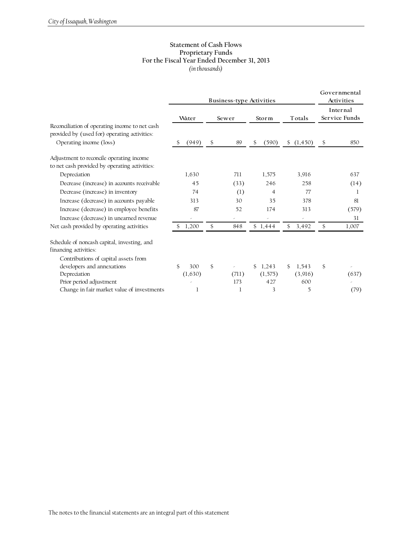#### **Statement of Cash Flows Proprietary Funds For the Fiscal Year Ended December 31, 2013** *(in thousands)*

|                                                                                                                     | <b>Business-type Activities</b> |                     |       |                   |       |                                | Governmental<br>Activities |                              |                           |
|---------------------------------------------------------------------------------------------------------------------|---------------------------------|---------------------|-------|-------------------|-------|--------------------------------|----------------------------|------------------------------|---------------------------|
|                                                                                                                     | Water                           |                     | Sewer |                   | Storm |                                | Totals                     |                              | Internal<br>Service Funds |
| Reconciliation of operating income to net cash<br>provided by (used for) operating activities:                      |                                 |                     |       |                   |       |                                |                            |                              |                           |
| Operating income (loss)                                                                                             | \$                              | (949)               | -\$   | 89                | \$    | (590)                          | \$                         | (1, 450)                     | \$<br>850                 |
| Adjustment to reconcile operating income<br>to net cash provided by operating activities:                           |                                 |                     |       |                   |       |                                |                            |                              |                           |
| Depreciation                                                                                                        |                                 | 1,630               |       | 711               |       | 1,575                          |                            | 3,916                        | 637                       |
| Decrease (increase) in accounts receivable                                                                          |                                 | 45                  |       | (33)              |       | 246                            |                            | 258                          | (14)                      |
| Decrease (increase) in inventory                                                                                    |                                 | 74                  |       | (1)               |       | $\overline{4}$                 |                            | 77                           | 1                         |
| Increase (decrease) in accounts payable                                                                             |                                 | 313                 |       | 30                |       | 35                             |                            | 378                          | 81                        |
| Increase (decrease) in employee benefits                                                                            |                                 | 87                  |       | 52                |       | 174                            |                            | 313                          | (579)                     |
| Increase (decrease) in unearned revenue                                                                             |                                 |                     |       |                   |       |                                |                            |                              | 31                        |
| Net cash provided by operating activities                                                                           |                                 | 1,200               | \$    | 848               |       | \$1,444                        | \$                         | 3,492                        | \$<br>1,007               |
| Schedule of noncash capital, investing, and<br>financing activities:<br>Contributions of capital assets from        |                                 |                     |       |                   |       |                                |                            |                              |                           |
| developers and annexations<br>Depreciation<br>Prior period adjustment<br>Change in fair market value of investments | \$                              | 300<br>(1,630)<br>1 | \$    | (711)<br>173<br>1 |       | \$1,243<br>(1,575)<br>427<br>3 | $\mathbb{S}$               | 1,543<br>(3,916)<br>600<br>5 | \$<br>(637)<br>(79)       |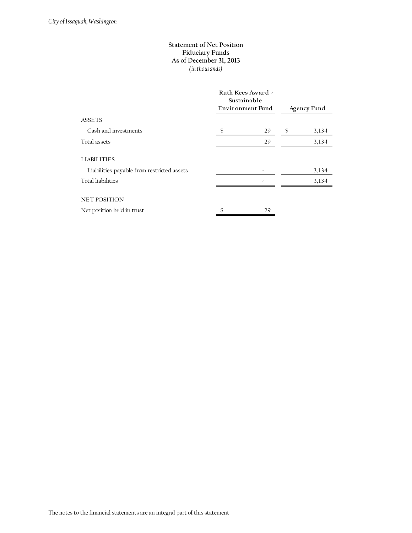#### **Statement of Net Position Fiduciary Funds As of December 31, 2013** *(in thousands)*

|                                            | Ruth Kees Award -<br>Sustainable<br>Environment Fund | Agency Fund |       |  |
|--------------------------------------------|------------------------------------------------------|-------------|-------|--|
| <b>ASSETS</b>                              |                                                      |             |       |  |
| Cash and investments                       | \$<br>29                                             | \$          | 3,134 |  |
| Total assets                               | 29                                                   |             | 3,134 |  |
| <b>LIABILITIES</b>                         |                                                      |             |       |  |
| Liabilities payable from restricted assets |                                                      |             | 3,134 |  |
| <b>Total liabilities</b>                   |                                                      |             | 3,134 |  |
| <b>NET POSITION</b>                        |                                                      |             |       |  |
| Net position held in trust                 | \$<br>29                                             |             |       |  |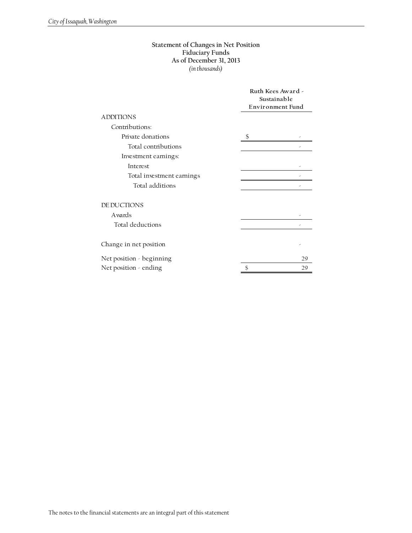#### **Statement of Changes in Net Position Fiduciary Funds As of December 31, 2013** *(in thousands)*

|                           | Ruth Kees Award -<br>Sustainable<br><b>Environment Fund</b> |
|---------------------------|-------------------------------------------------------------|
| <b>ADDITIONS</b>          |                                                             |
| Contributions:            |                                                             |
| Private donations         | \$                                                          |
| Total contributions       |                                                             |
| Investment earnings:      |                                                             |
| Interest                  |                                                             |
| Total investment earnings |                                                             |
| Total additions           |                                                             |
| DE DUCTIONS               |                                                             |
| Avards                    |                                                             |
| Total deductions          |                                                             |
| Change in net position    |                                                             |
| Net position - beginning  | 29                                                          |
| Net position - ending     | \$<br>29                                                    |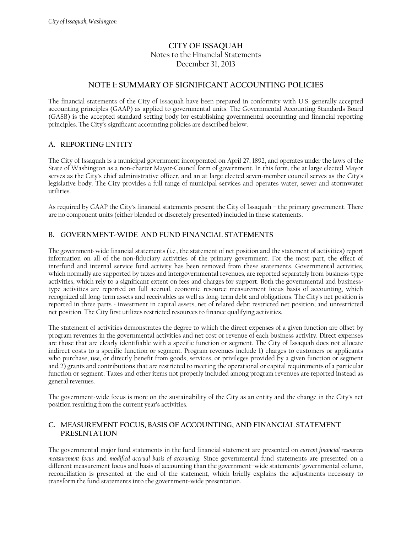# **CITY OF ISSAQUAH** Notes to the Financial Statements December 31, 2013

# **NOTE 1: SUMMARY OF SIGNIFICANT ACCOUNTING POLICIES**

The financial statements of the City of Issaquah have been prepared in conformity with U.S. generally accepted accounting principles (GAAP) as applied to governmental units. The Governmental Accounting Standards Board (GASB) is the accepted standard setting body for establishing governmental accounting and financial reporting principles. The City's significant accounting policies are described below.

# **A. REPORTING ENTITY**

The City of Issaquah is a municipal government incorporated on April 27, 1892, and operates under the laws of the State of Washington as a non-charter Mayor-Council form of government. In this form, the at large elected Mayor serves as the City's chief administrative officer, and an at large elected seven-member council serves as the City's legislative body. The City provides a full range of municipal services and operates water, sewer and stormwater utilities.

As required by GAAP the City's financial statements present the City of Issaquah – the primary government. There are no component units (either blended or discretely presented) included in these statements.

# **B. GOVERNMENT-WIDE AND FUND FINANCIAL STATEMENTS**

The government-wide financial statements (i.e., the statement of net position and the statement of activities) report information on all of the non-fiduciary activities of the primary government. For the most part, the effect of interfund and internal service fund activity has been removed from these statements. Governmental activities, which normally are supported by taxes and intergovernmental revenues, are reported separately from business-type activities, which rely to a significant extent on fees and charges for support. Both the governmental and businesstype activities are reported on full accrual, economic resource measurement focus basis of accounting, which recognized all long-term assets and receivables as well as long-term debt and obligations. The City's net position is reported in three parts - investment in capital assets, net of related debt; restricted net position; and unrestricted net position. The City first utilizes restricted resources to finance qualifying activities.

The statement of activities demonstrates the degree to which the direct expenses of a given function are offset by program revenues in the governmental activities and net cost or revenue of each business activity. Direct expenses are those that are clearly identifiable with a specific function or segment. The City of Issaquah does not allocate indirect costs to a specific function or segment. Program revenues include 1) charges to customers or applicants who purchase, use, or directly benefit from goods, services, or privileges provided by a given function or segment and 2) grants and contributions that are restricted to meeting the operational or capital requirements of a particular function or segment. Taxes and other items not properly included among program revenues are reported instead as general revenues.

The government-wide focus is more on the sustainability of the City as an entity and the change in the City's net position resulting from the current year's activities.

#### **C. MEASUREMENT FOCUS, BASIS OF ACCOUNTING, AND FINANCIAL STATEMENT PRESENTATION**

The governmental major fund statements in the fund financial statement are presented on *current financial resources measurement focus* and *modified accrual basis of accounting*. Since governmental fund statements are presented on a different measurement focus and basis of accounting than the government–wide statements' governmental column, reconciliation is presented at the end of the statement, which briefly explains the adjustments necessary to transform the fund statements into the government-wide presentation.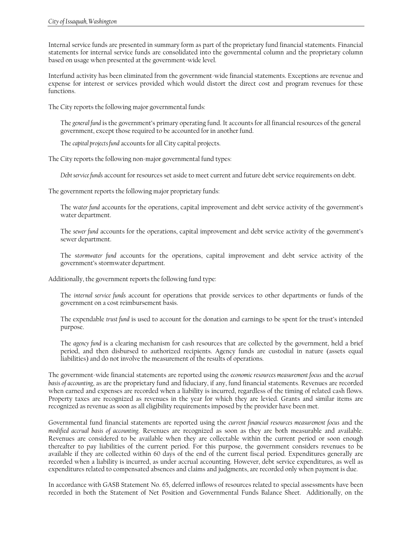Internal service funds are presented in summary form as part of the proprietary fund financial statements. Financial statements for internal service funds are consolidated into the governmental column and the proprietary column based on usage when presented at the government-wide level.

Interfund activity has been eliminated from the government-wide financial statements. Exceptions are revenue and expense for interest or services provided which would distort the direct cost and program revenues for these functions.

The City reports the following major governmental funds:

The *general fund* is the government's primary operating fund. It accounts for all financial resources of the general government, except those required to be accounted for in another fund.

The *capital projects fund* accounts for all City capital projects.

The City reports the following non-major governmental fund types:

*Debt service funds* account for resources set aside to meet current and future debt service requirements on debt.

The government reports the following major proprietary funds:

The w*ater fund* accounts for the operations, capital improvement and debt service activity of the government's water department.

The *sewer fund* accounts for the operations, capital improvement and debt service activity of the government's sewer department.

The s*tormwater fund* accounts for the operations, capital improvement and debt service activity of the government's stormwater department.

Additionally, the government reports the following fund type:

The *internal service funds* account for operations that provide services to other departments or funds of the government on a cost reimbursement basis.

The expendable *trust fund* is used to account for the donation and earnings to be spent for the trust's intended purpose.

The *agency fund* is a clearing mechanism for cash resources that are collected by the government, held a brief period, and then disbursed to authorized recipients. Agency funds are custodial in nature (assets equal liabilities) and do not involve the measurement of the results of operations.

The government-wide financial statements are reported using the *economic resources measurement focus* and the *accrual basis of accounting*, as are the proprietary fund and fiduciary, if any, fund financial statements. Revenues are recorded when earned and expenses are recorded when a liability is incurred, regardless of the timing of related cash flows. Property taxes are recognized as revenues in the year for which they are levied. Grants and similar items are recognized as revenue as soon as all eligibility requirements imposed by the provider have been met.

Governmental fund financial statements are reported using the *current financial resources measurement focus* and the *modified accrual basis of accounting*. Revenues are recognized as soon as they are both measurable and available. Revenues are considered to be available when they are collectable within the current period or soon enough thereafter to pay liabilities of the current period. For this purpose, the government considers revenues to be available if they are collected within 60 days of the end of the current fiscal period. Expenditures generally are recorded when a liability is incurred, as under accrual accounting. However, debt service expenditures, as well as expenditures related to compensated absences and claims and judgments, are recorded only when payment is due.

In accordance with GASB Statement No. 65, deferred inflows of resources related to special assessments have been recorded in both the Statement of Net Position and Governmental Funds Balance Sheet. Additionally, on the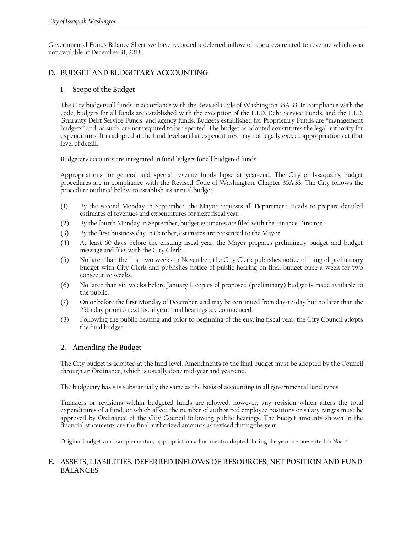Governmental Funds Balance Sheet we have recorded a deferred inflow of resources related to revenue which was not available at December 31, 2013.

# **D. BUDGET AND BUDGETARY ACCOUNTING**

# **1. Scope of the Budget**

The City budgets all funds in accordance with the Revised Code of Washington 35A.33. In compliance with the code, budgets for all funds are established with the exception of the L.I.D. Debt Service Funds, and the L.I.D. Guaranty Debt Service Funds, and agency funds. Budgets established for Proprietary Funds are "management budgets" and, as such, are not required to be reported. The budget as adopted constitutes the legal authority for expenditures. It is adopted at the fund level so that expenditures may not legally exceed appropriations at that level of detail.

Budgetary accounts are integrated in fund ledgers for all budgeted funds.

Appropriations for general and special revenue funds lapse at year-end. The City of Issaquah's budget procedures are in compliance with the Revised Code of Washington, Chapter 35A.33. The City follows the procedure outlined below to establish its annual budget.

- (1) By the second Monday in September, the Mayor requests all Department Heads to prepare detailed estimates of revenues and expenditures for next fiscal year.
- (2) By the fourth Monday in September, budget estimates are filed with the Finance Director.
- (3) By the first business day in October, estimates are presented to the Mayor.
- (4) At least 60 days before the ensuing fiscal year, the Mayor prepares preliminary budget and budget message and files with the City Clerk.
- (5) No later than the first two weeks in November, the City Clerk publishes notice of filing of preliminary budget with City Clerk and publishes notice of public hearing on final budget once a week for two consecutive weeks.
- (6) No later than six weeks before January 1, copies of proposed (preliminary) budget is made available to the public.
- (7) On or before the first Monday of December, and may be continued from day-to-day but no later than the 25th day prior to next fiscal year, final hearings are commenced.
- (8) Following the public hearing and prior to beginning of the ensuing fiscal year, the City Council adopts the final budget.

# **2. Amending the Budget**

The City budget is adopted at the fund level. Amendments to the final budget must be adopted by the Council through an Ordinance, which is usually done mid-year and year-end.

The budgetary basis is substantially the same as the basis of accounting in all governmental fund types.

Transfers or revisions within budgeted funds are allowed; however, any revision which alters the total expenditures of a fund, or which affect the number of authorized employee positions or salary ranges must be approved by Ordinance of the City Council following public hearings. The budget amounts shown in the financial statements are the final authorized amounts as revised during the year.

Original budgets and supplementary appropriation adjustments adopted during the year are presented in *Note 4.*

# **E. ASSETS, LIABILITIES, DEFERRED INFLOWS OF RESOURCES, NET POSITION AND FUND BALANCES**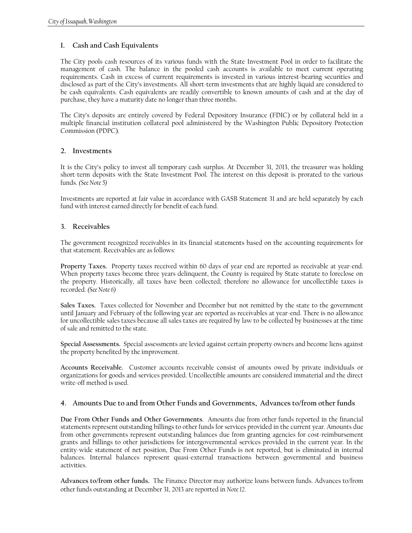# **1. Cash and Cash Equivalents**

The City pools cash resources of its various funds with the State Investment Pool in order to facilitate the management of cash. The balance in the pooled cash accounts is available to meet current operating requirements. Cash in excess of current requirements is invested in various interest-bearing securities and disclosed as part of the City's investments. All short-term investments that are highly liquid are considered to be cash equivalents. Cash equivalents are readily convertible to known amounts of cash and at the day of purchase, they have a maturity date no longer than three months.

The City's deposits are entirely covered by Federal Depository Insurance (FDIC) or by collateral held in a multiple financial institution collateral pool administered by the Washington Public Depository Protection Commission (PDPC).

# **2. Investments**

It is the City's policy to invest all temporary cash surplus. At December 31, 2013, the treasurer was holding short-term deposits with the State Investment Pool. The interest on this deposit is prorated to the various funds. *(See Note 5)*

Investments are reported at fair value in accordance with GASB Statement 31 and are held separately by each fund with interest earned directly for benefit of each fund.

# **3. Receivables**

The government recognized receivables in its financial statements based on the accounting requirements for that statement. Receivables are as follows:

**Property Taxes.** Property taxes received within 60 days of year end are reported as receivable at year-end. When property taxes become three years delinquent, the County is required by State statute to foreclose on the property. Historically, all taxes have been collected; therefore no allowance for uncollectible taxes is recorded. *(See Note 6)*

**Sales Taxes.** Taxes collected for November and December but not remitted by the state to the government until January and February of the following year are reported as receivables at year-end. There is no allowance for uncollectible sales taxes because all sales taxes are required by law to be collected by businesses at the time of sale and remitted to the state.

**Special Assessments.** Special assessments are levied against certain property owners and become liens against the property benefited by the improvement.

**Accounts Receivable.** Customer accounts receivable consist of amounts owed by private individuals or organizations for goods and services provided. Uncollectible amounts are considered immaterial and the direct write-off method is used.

# **4. Amounts Due to and from Other Funds and Governments, Advances to/from other funds**

**Due From Other Funds and Other Governments**. Amounts due from other funds reported in the financial statements represent outstanding billings to other funds for services provided in the current year. Amounts due from other governments represent outstanding balances due from granting agencies for cost-reimbursement grants and billings to other jurisdictions for intergovernmental services provided in the current year. In the entity-wide statement of net position, Due From Other Funds is not reported, but is eliminated in internal balances. Internal balances represent quasi-external transactions between governmental and business activities.

**Advances to/from other funds.** The Finance Director may authorize loans between funds. Advances to/from other funds outstanding at December 31, 2013 are reported in *Note 12*.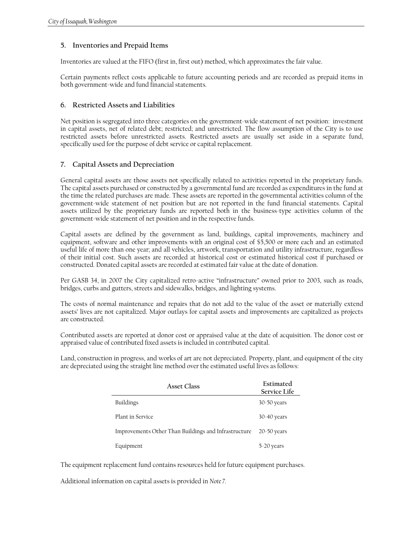# **5. Inventories and Prepaid Items**

Inventories are valued at the FIFO (first in, first out) method, which approximates the fair value.

Certain payments reflect costs applicable to future accounting periods and are recorded as prepaid items in both government-wide and fund financial statements.

# **6. Restricted Assets and Liabilities**

Net position is segregated into three categories on the government-wide statement of net position: investment in capital assets, net of related debt; restricted; and unrestricted. The flow assumption of the City is to use restricted assets before unrestricted assets. Restricted assets are usually set aside in a separate fund, specifically used for the purpose of debt service or capital replacement.

# **7. Capital Assets and Depreciation**

General capital assets are those assets not specifically related to activities reported in the proprietary funds. The capital assets purchased or constructed by a governmental fund are recorded as expenditures in the fund at the time the related purchases are made. These assets are reported in the governmental activities column of the government-wide statement of net position but are not reported in the fund financial statements. Capital assets utilized by the proprietary funds are reported both in the business-type activities column of the government-wide statement of net position and in the respective funds.

Capital assets are defined by the government as land, buildings, capital improvements, machinery and equipment, software and other improvements with an original cost of \$5,500 or more each and an estimated useful life of more than one year; and all vehicles, artwork, transportation and utility infrastructure, regardless of their initial cost. Such assets are recorded at historical cost or estimated historical cost if purchased or constructed. Donated capital assets are recorded at estimated fair value at the date of donation.

Per GASB 34, in 2007 the City capitalized retro-active "infrastructure" owned prior to 2003, such as roads, bridges, curbs and gutters, streets and sidewalks, bridges, and lighting systems.

The costs of normal maintenance and repairs that do not add to the value of the asset or materially extend assets' lives are not capitalized. Major outlays for capital assets and improvements are capitalized as projects are constructed.

Contributed assets are reported at donor cost or appraised value at the date of acquisition. The donor cost or appraised value of contributed fixed assets is included in contributed capital.

Land, construction in progress, and works of art are not depreciated. Property, plant, and equipment of the city are depreciated using the straight line method over the estimated useful lives as follows:

| <b>Asset Class</b>                                   | Estimated<br>Service Life |
|------------------------------------------------------|---------------------------|
| Buildings                                            | $30-50$ years             |
| Plant in Service                                     | $30-40$ years             |
| Improvements Other Than Buildings and Infrastructure | $20-50$ years             |
| Equipment                                            | $5-20$ years              |

The equipment replacement fund contains resources held for future equipment purchases.

Additional information on capital assets is provided in *Note 7.*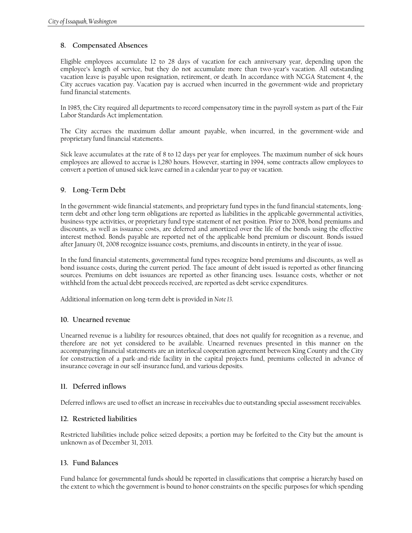# **8. Compensated Absences**

Eligible employees accumulate 12 to 28 days of vacation for each anniversary year, depending upon the employee's length of service, but they do not accumulate more than two-year's vacation. All outstanding vacation leave is payable upon resignation, retirement, or death. In accordance with NCGA Statement 4, the City accrues vacation pay. Vacation pay is accrued when incurred in the government-wide and proprietary fund financial statements.

In 1985, the City required all departments to record compensatory time in the payroll system as part of the Fair Labor Standards Act implementation.

The City accrues the maximum dollar amount payable, when incurred, in the government-wide and proprietary fund financial statements.

Sick leave accumulates at the rate of 8 to 12 days per year for employees. The maximum number of sick hours employees are allowed to accrue is 1,280 hours. However, starting in 1994, some contracts allow employees to convert a portion of unused sick leave earned in a calendar year to pay or vacation.

# **9. Long-Term Debt**

In the government-wide financial statements, and proprietary fund types in the fund financial statements, longterm debt and other long-term obligations are reported as liabilities in the applicable governmental activities, business-type activities, or proprietary fund type statement of net position. Prior to 2008, bond premiums and discounts, as well as issuance costs, are deferred and amortized over the life of the bonds using the effective interest method. Bonds payable are reported net of the applicable bond premium or discount. Bonds issued after January 01, 2008 recognize issuance costs, premiums, and discounts in entirety, in the year of issue.

In the fund financial statements, governmental fund types recognize bond premiums and discounts, as well as bond issuance costs, during the current period. The face amount of debt issued is reported as other financing sources. Premiums on debt issuances are reported as other financing uses. Issuance costs, whether or not withheld from the actual debt proceeds received, are reported as debt service expenditures.

Additional information on long-term debt is provided in *Note 13*.

# **10. Unearned revenue**

Unearned revenue is a liability for resources obtained, that does not qualify for recognition as a revenue, and therefore are not yet considered to be available. Unearned revenues presented in this manner on the accompanying financial statements are an interlocal cooperation agreement between King County and the City for construction of a park-and-ride facility in the capital projects fund, premiums collected in advance of insurance coverage in our self-insurance fund, and various deposits.

# **11. Deferred inflows**

Deferred inflows are used to offset an increase in receivables due to outstanding special assessment receivables.

# **12. Restricted liabilities**

Restricted liabilities include police seized deposits; a portion may be forfeited to the City but the amount is unknown as of December 31, 2013.

# **13. Fund Balances**

Fund balance for governmental funds should be reported in classifications that comprise a hierarchy based on the extent to which the government is bound to honor constraints on the specific purposes for which spending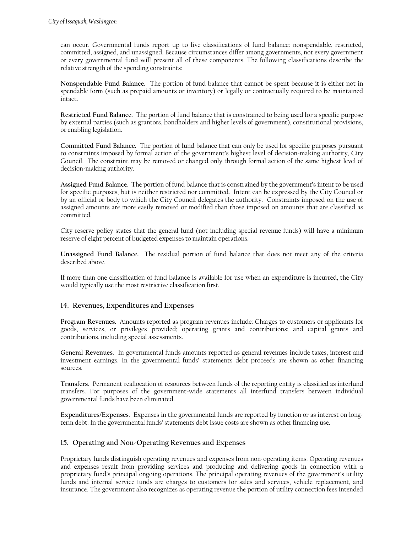can occur. Governmental funds report up to five classifications of fund balance: nonspendable, restricted, committed, assigned, and unassigned. Because circumstances differ among governments, not every government or every governmental fund will present all of these components. The following classifications describe the relative strength of the spending constraints:

**Nonspendable Fund Balance.** The portion of fund balance that cannot be spent because it is either not in spendable form (such as prepaid amounts or inventory) or legally or contractually required to be maintained intact.

**Restricted Fund Balance.** The portion of fund balance that is constrained to being used for a specific purpose by external parties (such as grantors, bondholders and higher levels of government), constitutional provisions, or enabling legislation.

**Committed Fund Balance.** The portion of fund balance that can only be used for specific purposes pursuant to constraints imposed by formal action of the government's highest level of decision-making authority, City Council. The constraint may be removed or changed only through formal action of the same highest level of decision-making authority.

**Assigned Fund Balance**. The portion of fund balance that is constrained by the government's intent to be used for specific purposes, but is neither restricted nor committed. Intent can be expressed by the City Council or by an official or body to which the City Council delegates the authority. Constraints imposed on the use of assigned amounts are more easily removed or modified than those imposed on amounts that are classified as committed.

City reserve policy states that the general fund (not including special revenue funds) will have a minimum reserve of eight percent of budgeted expenses to maintain operations.

**Unassigned Fund Balance.** The residual portion of fund balance that does not meet any of the criteria described above.

If more than one classification of fund balance is available for use when an expenditure is incurred, the City would typically use the most restrictive classification first.

# **14. Revenues, Expenditures and Expenses**

**Program Revenues.**Amounts reported as program revenues include: Charges to customers or applicants for goods, services, or privileges provided; operating grants and contributions; and capital grants and contributions, including special assessments.

**General Revenues**. In governmental funds amounts reported as general revenues include taxes, interest and investment earnings. In the governmental funds' statements debt proceeds are shown as other financing sources.

**Transfers**. Permanent reallocation of resources between funds of the reporting entity is classified as interfund transfers. For purposes of the government-wide statements all interfund transfers between individual governmental funds have been eliminated.

**Expenditures/Expenses**. Expenses in the governmental funds are reported by function or as interest on longterm debt. In the governmental funds' statements debt issue costs are shown as other financing use.

#### **15. Operating and Non-Operating Revenues and Expenses**

Proprietary funds distinguish operating revenues and expenses from non-operating items. Operating revenues and expenses result from providing services and producing and delivering goods in connection with a proprietary fund's principal ongoing operations. The principal operating revenues of the government's utility funds and internal service funds are charges to customers for sales and services, vehicle replacement, and insurance. The government also recognizes as operating revenue the portion of utility connection fees intended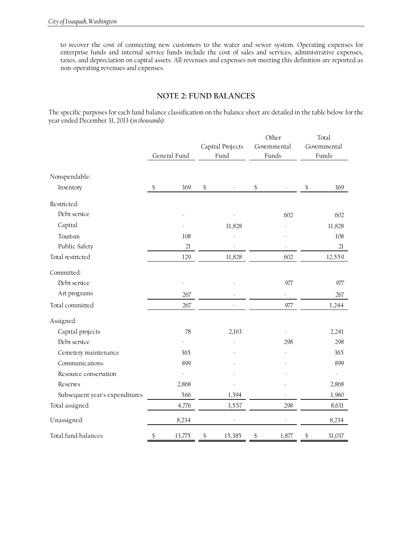to recover the cost of connecting new customers to the water and sewer system. Operating expenses for enterprise funds and internal service funds include the cost of sales and services, administrative expenses, taxes, and depreciation on capital assets. All revenues and expenses not meeting this definition are reported as non-operating revenues and expenses.

# **NOTE 2: FUND BALANCES**

The specific purposes for each fund balance classification on the balance sheet are detailed in the table below for the year ended December 31, 2013 (*in thousands)*:

|                                |               |        | Capital Projects |       | Other<br>Governmental | Total<br>Governmental |         |  |
|--------------------------------|---------------|--------|------------------|-------|-----------------------|-----------------------|---------|--|
|                                | General Fund  |        | Fund             | Funds |                       | Funds                 |         |  |
| Nonspendable:                  |               |        |                  |       |                       |                       |         |  |
| Inventory                      | $\frac{1}{2}$ | 369    | \$               | \$    |                       | $\$\,$                | 369     |  |
| Restricted:                    |               |        |                  |       |                       |                       |         |  |
| Debt service                   |               |        |                  |       | 602                   |                       | 602     |  |
| Capital                        |               |        | 11,828           |       |                       |                       | 11,828  |  |
| Tourism                        |               | 108    |                  |       |                       |                       | $108\,$ |  |
| Public Safety                  |               | 21     | ×                |       | ×                     |                       | 21      |  |
| Total restricted               |               | 129    | 11,828           |       | 602                   |                       | 12,559  |  |
| Committed:                     |               |        |                  |       |                       |                       |         |  |
| Debt service                   |               |        |                  |       | 977                   |                       | 977     |  |
| Art programs                   |               | 267    |                  |       | ×,                    |                       | 267     |  |
| Total committed                |               | 267    | ×                |       | 977                   |                       | 1,244   |  |
| Assigned:                      |               |        |                  |       |                       |                       |         |  |
| Capital projects               |               | 78     | 2,163            |       |                       |                       | 2,241   |  |
| Debt service                   |               |        |                  |       | 298                   |                       | 298     |  |
| Cemetery maintenance           |               | 365    |                  |       |                       |                       | 365     |  |
| Communications                 |               | 899    |                  |       |                       |                       | 899     |  |
| Resource conservation          |               |        |                  |       |                       |                       |         |  |
| Reserves                       |               | 2,868  |                  |       |                       |                       | 2,868   |  |
| Subsequent year's expenditures |               | 566    | 1,394            |       |                       |                       | 1,960   |  |
| Total assigned                 |               | 4,776  | 3,557            |       | 298                   |                       | 8,631   |  |
| Unassigned:                    |               | 8,234  |                  |       | ×                     |                       | 8,234   |  |
| Total fund balances            | \$            | 13,775 | \$<br>15,385     | \$    | 1,877                 | $\frac{1}{2}$         | 31,037  |  |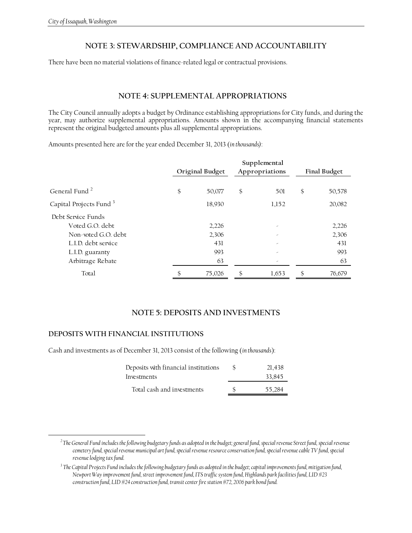# **NOTE 3: STEWARDSHIP, COMPLIANCE AND ACCOUNTABILITY**

There have been no material violations of finance-related legal or contractual provisions.

# **NOTE 4: SUPPLEMENTAL APPROPRIATIONS<sup>2</sup> <sup>3</sup>**

The City Council annually adopts a budget by Ordinance establishing appropriations for City funds, and during the year, may authorize supplemental appropriations. Amounts shown in the accompanying financial statements represent the original budgeted amounts plus all supplemental appropriations.

Amounts presented here are for the year ended December 31, 2013 (*in thousands)*:

|                                    | Original Budget | Supplemental<br>Appropriations | Final Budget |        |  |
|------------------------------------|-----------------|--------------------------------|--------------|--------|--|
|                                    |                 |                                |              |        |  |
| General Fund <sup>2</sup>          | \$<br>50,077    | \$<br>501                      | \$           | 50,578 |  |
| Capital Projects Fund <sup>3</sup> | 18,930          | 1,152                          |              | 20,082 |  |
| Debt Service Funds                 |                 |                                |              |        |  |
| Voted G.O. debt                    | 2,226           | ٠                              |              | 2,226  |  |
| Non-wited G.O. debt                | 2,306           | ٠                              |              | 2,306  |  |
| L.I.D. debt service                | 431             | ÷                              |              | 431    |  |
| L.I.D. guaranty                    | 993             | ۰                              |              | 993    |  |
| Arbitrage Rebate                   | 63              | ×                              |              | 63     |  |
| Total                              | \$<br>75,026    | 1,653                          | \$           | 76,679 |  |

# **NOTE 5: DEPOSITS AND INVESTMENTS**

# **DEPOSITS WITH FINANCIAL INSTITUTIONS**

l

Cash and investments as of December 31, 2013 consist of the following (*in thousands*):

| Deposits with financial institutions | 21,438 |
|--------------------------------------|--------|
| Investments                          | 33,845 |
| Total cash and investments           | 55.284 |

*<sup>2</sup> The General Fund includes the following budgetary funds as adopted in the budget; general fund, special revenue Street fund, special revenue cemetery fund, special revenue municipal art fund, special revenue resource conservation fund, special revenue cable TV fund, special revenue lodging tax fund.*

<sup>&</sup>lt;sup>3</sup> The Capital Projects Fund includes the following budgetary funds as adopted in the budget; capital improvements fund, mitigation fund, *Newport Way improvement fund, street improvement fund, ITS traffic system fund, Highlands park facilities fund, LID #23 construction fund, LID #24 construction fund, transit center fire station #72, 2006 park bond fund.*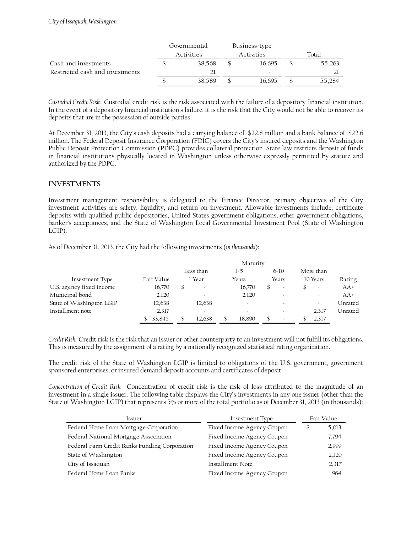|                                 | Governmental |        |            | Business-type |       |        |
|---------------------------------|--------------|--------|------------|---------------|-------|--------|
|                                 | Activities   |        | Activities |               | Total |        |
| Cash and investments            |              | 38,568 |            | 16.695        |       | 55,263 |
| Restricted cash and investments |              | 21.    |            | -             |       | 21     |
|                                 |              | 38,589 |            | 16.695        |       | 55,284 |

*Custodial Credit Risk.* Custodial credit risk is the risk associated with the failure of a depository financial institution. In the event of a depository financial institution's failure, it is the risk that the City would not be able to recover its deposits that are in the possession of outside parties.

At December 31, 2013, the City's cash deposits had a carrying balance of \$22.8 million and a bank balance of \$22.6 million. The Federal Deposit Insurance Corporation (FDIC) covers the City's insured deposits and the Washington Public Deposit Protection Commission (PDPC) provides collateral protection. State law restricts deposit of funds in financial institutions physically located in Washington unless otherwise expressly permitted by statute and authorized by the PDPC.

# **INVESTMENTS**

Investment management responsibility is delegated to the Finance Director; primary objectives of the City investment activities are safety, liquidity, and return on investment. Allowable investments include; certificate deposits with qualified public depositories, United States government obligations, other government obligations, banker's acceptances, and the State of Washington Local Governmental Investment Pool (State of Washington LGIP).

As of December 31, 2013, the City had the following investments (*in thousands*):

|                          |            |        | Maturity  |       |        |          |        |          |           |         |
|--------------------------|------------|--------|-----------|-------|--------|----------|--------|----------|-----------|---------|
|                          |            |        | Less than | $1-5$ |        | $6 - 10$ |        |          | More than |         |
| Investment Type          | Fair Value | 1 Year |           |       | Years  |          | Years  | 10 Years |           | Rating  |
| U.S. agency fixed income | 16,770     | \$     | -         |       | 16,770 | \$       | -      |          | ٠         | $AA+$   |
| Municipal bond           | 2,120      |        | ۰         |       | 2,120  |          |        |          | ÷         | $AA+$   |
| State of Washington LGIP | 12,638     |        | 12,638    |       | ÷.     |          |        |          | ÷         | Unrated |
| Installment note         | 2,317      |        | $\sim$    |       | $\sim$ |          | $\sim$ |          | 2,317     | Unrated |
|                          | 33,845     |        | 12.638    |       | 18,890 |          | -      |          | 2,317     |         |

*Credit Risk.* Credit risk is the risk that an issuer or other counterparty to an investment will not fulfill its obligations. This is measured by the assignment of a rating by a nationally recognized statistical rating organization.

The credit risk of the State of Washington LGIP is limited to obligations of the U.S. government, government sponsored enterprises, or insured demand deposit accounts and certificates of deposit.

*Concentration of Credit Risk.* Concentration of credit risk is the risk of loss attributed to the magnitude of an investment in a single issuer. The following table displays the City's investments in any one issuer (other than the State of Washington LGIP) that represents 5% or more of the total portfolio as of December 31, 2013 (in thousands):

| <i>Issuer</i>                                 | Investment Type            | Fair Value |       |  |
|-----------------------------------------------|----------------------------|------------|-------|--|
| Federal Home Loan Mortgage Corporation        | Fixed Income Agency Coupon |            | 5,013 |  |
| Federal National Mortgage Association         | Fixed Income Agency Coupon |            | 7,794 |  |
| Federal Farm Credit Banks Funding Corporation | Fixed Income Agency Coupon |            | 2,999 |  |
| State of Washington                           | Fixed Income Agency Coupon |            | 2,120 |  |
| City of Issaquah                              | Installment Note           |            | 2,317 |  |
| Federal Home Loan Banks                       | Fixed Income Agency Coupon |            | 964   |  |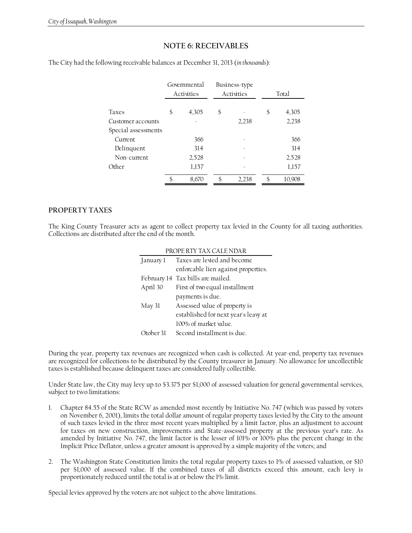# **NOTE 6: RECEIVABLES**

The City had the following receivable balances at December 31, 2013 (*in thousands*):

|                     | Governmental<br>Activities | Business-type<br>Activities | Total        |
|---------------------|----------------------------|-----------------------------|--------------|
| Taxes               | \$<br>4,305                | \$                          | \$<br>4,305  |
| Customer accounts   |                            | 2,238                       | 2,238        |
| Special assessments |                            |                             |              |
| Current             | 366                        | ۰                           | 366          |
| Delinquent          | 314                        |                             | 314          |
| Non-current         | 2,528                      | ×                           | 2,528        |
| Other               | 1,157                      | ۰                           | 1,157        |
|                     | 8,670                      | \$<br>2,238                 | \$<br>10,908 |

#### **PROPERTY TAXES**

The King County Treasurer acts as agent to collect property tax levied in the County for all taxing authorities. Collections are distributed after the end of the month.

| PROPE RTY TAX CAI E NDAR |                                     |  |  |  |  |  |  |
|--------------------------|-------------------------------------|--|--|--|--|--|--|
| January 1                | Taxes are levied and become         |  |  |  |  |  |  |
|                          | enforcable lien against properties. |  |  |  |  |  |  |
|                          | February 14 Tax bills are mailed.   |  |  |  |  |  |  |
| April 30                 | First of two equal installment      |  |  |  |  |  |  |
|                          | payments is due.                    |  |  |  |  |  |  |
| May 31                   | Assessed value of property is       |  |  |  |  |  |  |
|                          | established for next year's leaw at |  |  |  |  |  |  |
|                          | 100% of market value.               |  |  |  |  |  |  |
| Otober 31                | Second installment is due           |  |  |  |  |  |  |

During the year, property tax revenues are recognized when cash is collected. At year-end, property tax revenues are recognized for collections to be distributed by the County treasurer in January. No allowance for uncollectible taxes is established because delinquent taxes are considered fully collectible.

Under State law, the City may levy up to \$3.375 per \$1,000 of assessed valuation for general governmental services, subject to two limitations:

- 1. Chapter 84.55 of the State RCW as amended most recently by Initiative No. 747 (which was passed by voters on November 6, 2001), limits the total dollar amount of regular property taxes levied by the City to the amount of such taxes levied in the three most recent years multiplied by a limit factor, plus an adjustment to account for taxes on new construction, improvements and State-assessed property at the previous year's rate. As amended by Initiative No. 747, the limit factor is the lesser of 101% or 100% plus the percent change in the Implicit Price Deflator, unless a greater amount is approved by a simple majority of the voters; and
- 2. The Washington State Constitution limits the total regular property taxes to 1% of assessed valuation, or \$10 per \$1,000 of assessed value. If the combined taxes of all districts exceed this amount, each levy is proportionately reduced until the total is at or below the 1% limit.

Special levies approved by the voters are not subject to the above limitations.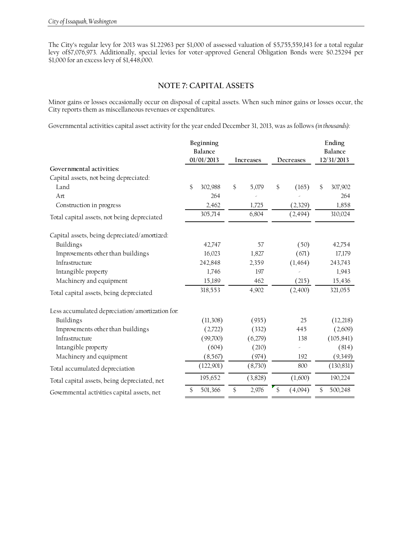The City's regular levy for 2013 was \$1.22963 per \$1,000 of assessed valuation of \$5,755,559,143 for a total regular levy of\$7,076,973. Additionally, special levies for voter-approved General Obligation Bonds were \$0.25294 per \$1,000 for an excess levy of \$1,448,000.

# **NOTE 7: CAPITAL ASSETS**

Minor gains or losses occasionally occur on disposal of capital assets. When such minor gains or losses occur, the City reports them as miscellaneous revenues or expenditures.

Governmental activities capital asset activity for the year ended December 31, 2013, was as follows *(in thousands):*

|                                                 | Beginning |            |    |           |                                 |           | Ending        |            |  |
|-------------------------------------------------|-----------|------------|----|-----------|---------------------------------|-----------|---------------|------------|--|
|                                                 | Balance   |            |    |           |                                 |           | Balance       |            |  |
|                                                 |           | 01/01/2013 |    | Increases |                                 | Decreases |               | 12/31/2013 |  |
| Governmental activities:                        |           |            |    |           |                                 |           |               |            |  |
| Capital assets, not being depreciated:          |           |            |    |           |                                 |           |               |            |  |
| Land                                            | \$        | 302,988    | \$ | 5,079     | \$                              | (165)     | $\frac{1}{2}$ | 307,902    |  |
| Art                                             |           | 264        |    |           |                                 |           |               | 264        |  |
| Construction in progress                        |           | 2,462      |    | 1,725     |                                 | (2,329)   |               | 1,858      |  |
| Total capital assets, not being depreciated     |           | 305,714    |    | 6,804     |                                 | (2, 494)  |               | 310,024    |  |
| Capital assets, being depreciated/amortized:    |           |            |    |           |                                 |           |               |            |  |
| Buildings                                       |           | 42,747     |    | 57        |                                 | (50)      |               | 42,754     |  |
| Improvements other than buildings               |           | 16,023     |    | 1,827     |                                 | (671)     |               | 17,179     |  |
| Infrastructure                                  |           | 242,848    |    | 2,359     |                                 | (1, 464)  |               | 243,743    |  |
| Intangible property                             |           | 1,746      |    | 197       |                                 |           |               | 1,943      |  |
| Machinery and equipment                         |           | 15,189     |    | 462       |                                 | (215)     |               | 15,436     |  |
| Total capital assets, being depreciated         |           | 318,553    |    | 4,902     |                                 | (2,400)   |               | 321,055    |  |
| Less accumulated depreciation/amortization for: |           |            |    |           |                                 |           |               |            |  |
| Buildings                                       |           | (11, 308)  |    | (935)     |                                 | 25        |               | (12,218)   |  |
| Improvements other than buildings               |           | (2,722)    |    | (332)     |                                 | 445       |               | (2,609)    |  |
| Infrastructure                                  |           | (99,700)   |    | (6,279)   |                                 | 138       |               | (105, 841) |  |
| Intangible property                             |           | (604)      |    | (210)     |                                 | ×         |               | (814)      |  |
| Machinery and equipment                         |           | (8, 567)   |    | (974)     |                                 | 192       |               | (9, 349)   |  |
| Total accumulated depreciation                  |           | (122, 901) |    | (8,730)   |                                 | 800       |               | (130, 831) |  |
| Total capital assets, being depreciated, net    |           | 195,652    |    | (3,828)   |                                 | (1,600)   |               | 190,224    |  |
| Governmental activities capital assets, net     |           | 501,366    | \$ | 2,976     | $\boldsymbol{\hat{\mathsf{S}}}$ | (4,094)   | \$            | 500,248    |  |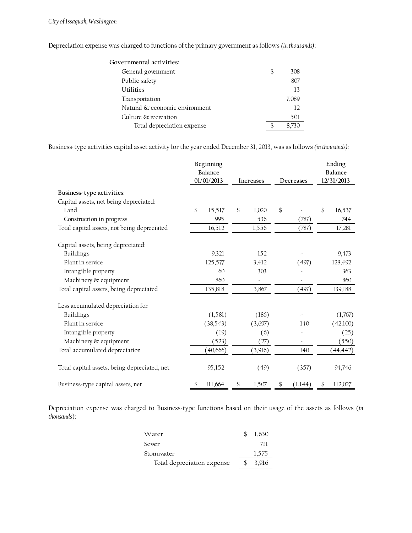Depreciation expense was charged to functions of the primary government as follows *(in thousands)*:

| Governmental activities:       |           |
|--------------------------------|-----------|
| General government             | \$<br>308 |
| Public safety                  | 807       |
| Utilities                      | 13        |
| Transportation                 | 7,089     |
| Natural & economic environment | 12        |
| Culture & recreation           | 501       |
| Total depreciation expense     |           |

Business-type activities capital asset activity for the year ended December 31, 2013, was as follows *(in thousands):*

|                                              | Beginning<br>Balance |             |               | Ending<br>Balance |
|----------------------------------------------|----------------------|-------------|---------------|-------------------|
|                                              | 01/01/2013           | Increases   | Decreases     | 12/31/2013        |
| Business-type activities:                    |                      |             |               |                   |
| Capital assets, not being depreciated:       |                      |             |               |                   |
| Land                                         | \$<br>15,517         | \$<br>1,020 | \$            | \$<br>16,537      |
| Construction in progress                     | 995                  | 536         | (787)         | 744               |
| Total capital assets, not being depreciated  | 16,512               | 1,556       | (787)         | 17,281            |
| Capital assets, being depreciated:           |                      |             |               |                   |
| Buildings                                    | 9,321                | 152         |               | 9,473             |
| Plant in service                             | 125,577              | 3,412       | (497)         | 128,492           |
| Intangible property                          | 60                   | 303         |               | 363               |
| Machinery & equipment                        | 860                  | ×           |               | 860               |
| Total capital assets, being depreciated      | 135,818              | 3,867       | 497)          | 139,188           |
| Less accumulated depreciation for:           |                      |             |               |                   |
| Buildings                                    | (1, 581)             | (186)       |               | (1,767)           |
| Plant in service                             | (38, 543)            | (3,697)     | 140           | (42,100)          |
| Intangible property                          | (19)                 | (6)         |               | (25)              |
| Machinery & equipment                        | (523)                | (27)        |               | (550)             |
| Total accumulated depreciation               | (40,666)             | (3,916)     | 140           | (44,442)          |
| Total capital assets, being depreciated, net | 95,152               | (49)        | (357)         | 94,746            |
| Business-type capital assets, net            | 111,664              | \$<br>1,507 | \$<br>(1,144) | 112,027           |

Depreciation expense was charged to Business-type functions based on their usage of the assets as follows (*in thousands*):

| Water                      | \$1,630 |
|----------------------------|---------|
| Sewer                      | 711     |
| Stormwater                 | 1,575   |
| Total depreciation expense | 3.916   |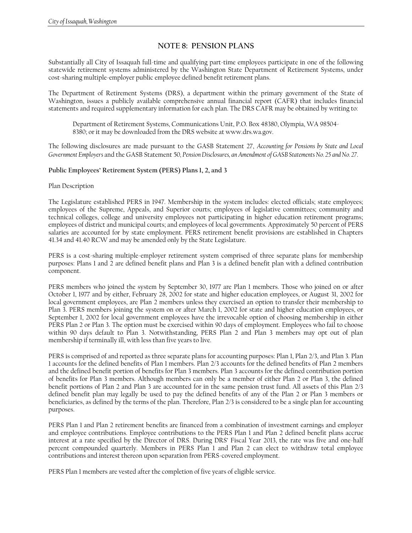# **NOTE 8: PENSION PLANS**

Substantially all City of Issaquah full-time and qualifying part-time employees participate in one of the following statewide retirement systems administered by the Washington State Department of Retirement Systems, under cost-sharing multiple-employer public employee defined benefit retirement plans.

The Department of Retirement Systems (DRS), a department within the primary government of the State of Washington, issues a publicly available comprehensive annual financial report (CAFR) that includes financial statements and required supplementary information for each plan. The DRS CAFR may be obtained by writing to:

Department of Retirement Systems, Communications Unit, P.O. Box 48380, Olympia, WA 98504- 8380; or it may be downloaded from the DRS website at www.drs.wa.gov.

The following disclosures are made pursuant to the GASB Statement 27, *Accounting for Pensions by State and Local Government Employers* and the GASB Statement 50*, Pension Disclosures, an Amendment of GASB Statements No. 25 and No. 27*.

#### **Public Employees' Retirement System (PERS) Plans 1, 2, and 3**

#### Plan Description

The Legislature established PERS in 1947. Membership in the system includes: elected officials; state employees; employees of the Supreme, Appeals, and Superior courts; employees of legislative committees; community and technical colleges, college and university employees not participating in higher education retirement programs; employees of district and municipal courts; and employees of local governments. Approximately 50 percent of PERS salaries are accounted for by state employment. PERS retirement benefit provisions are established in Chapters 41.34 and 41.40 RCW and may be amended only by the State Legislature.

PERS is a cost-sharing multiple-employer retirement system comprised of three separate plans for membership purposes: Plans 1 and 2 are defined benefit plans and Plan 3 is a defined benefit plan with a defined contribution component.

PERS members who joined the system by September 30, 1977 are Plan 1 members. Those who joined on or after October 1, 1977 and by either, February 28, 2002 for state and higher education employees, or August 31, 2002 for local government employees, are Plan 2 members unless they exercised an option to transfer their membership to Plan 3. PERS members joining the system on or after March 1, 2002 for state and higher education employees, or September 1, 2002 for local government employees have the irrevocable option of choosing membership in either PERS Plan 2 or Plan 3. The option must be exercised within 90 days of employment. Employees who fail to choose within 90 days default to Plan 3. Notwithstanding, PERS Plan 2 and Plan 3 members may opt out of plan membership if terminally ill, with less than five years to live.

PERS is comprised of and reported as three separate plans for accounting purposes: Plan 1, Plan 2/3, and Plan 3. Plan 1 accounts for the defined benefits of Plan 1 members. Plan 2/3 accounts for the defined benefits of Plan 2 members and the defined benefit portion of benefits for Plan 3 members. Plan 3 accounts for the defined contribution portion of benefits for Plan 3 members. Although members can only be a member of either Plan 2 or Plan 3, the defined benefit portions of Plan 2 and Plan 3 are accounted for in the same pension trust fund. All assets of this Plan 2/3 defined benefit plan may legally be used to pay the defined benefits of any of the Plan 2 or Plan 3 members or beneficiaries, as defined by the terms of the plan. Therefore, Plan 2/3 is considered to be a single plan for accounting purposes.

PERS Plan 1 and Plan 2 retirement benefits are financed from a combination of investment earnings and employer and employee contributions. Employee contributions to the PERS Plan 1 and Plan 2 defined benefit plans accrue interest at a rate specified by the Director of DRS. During DRS' Fiscal Year 2013, the rate was five and one-half percent compounded quarterly. Members in PERS Plan 1 and Plan 2 can elect to withdraw total employee contributions and interest thereon upon separation from PERS-covered employment.

PERS Plan 1 members are vested after the completion of five years of eligible service.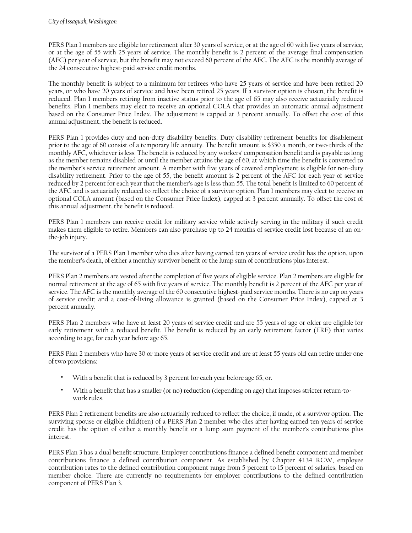PERS Plan 1 members are eligible for retirement after 30 years of service, or at the age of 60 with five years of service, or at the age of 55 with 25 years of service. The monthly benefit is 2 percent of the average final compensation (AFC) per year of service, but the benefit may not exceed 60 percent of the AFC. The AFC is the monthly average of the 24 consecutive highest-paid service credit months.

The monthly benefit is subject to a minimum for retirees who have 25 years of service and have been retired 20 years, or who have 20 years of service and have been retired 25 years. If a survivor option is chosen, the benefit is reduced. Plan 1 members retiring from inactive status prior to the age of 65 may also receive actuarially reduced benefits. Plan 1 members may elect to receive an optional COLA that provides an automatic annual adjustment based on the Consumer Price Index. The adjustment is capped at 3 percent annually. To offset the cost of this annual adjustment, the benefit is reduced.

PERS Plan 1 provides duty and non-duty disability benefits. Duty disability retirement benefits for disablement prior to the age of 60 consist of a temporary life annuity. The benefit amount is \$350 a month, or two-thirds of the monthly AFC, whichever is less. The benefit is reduced by any workers' compensation benefit and is payable as long as the member remains disabled or until the member attains the age of 60, at which time the benefit is converted to the member's service retirement amount. A member with five years of covered employment is eligible for non-duty disability retirement. Prior to the age of 55, the benefit amount is 2 percent of the AFC for each year of service reduced by 2 percent for each year that the member's age is less than 55. The total benefit is limited to 60 percent of the AFC and is actuarially reduced to reflect the choice of a survivor option. Plan 1 members may elect to receive an optional COLA amount (based on the Consumer Price Index), capped at 3 percent annually. To offset the cost of this annual adjustment, the benefit is reduced.

PERS Plan 1 members can receive credit for military service while actively serving in the military if such credit makes them eligible to retire. Members can also purchase up to 24 months of service credit lost because of an onthe-job injury.

The survivor of a PERS Plan 1 member who dies after having earned ten years of service credit has the option, upon the member's death, of either a monthly survivor benefit or the lump sum of contributions plus interest.

PERS Plan 2 members are vested after the completion of five years of eligible service. Plan 2 members are eligible for normal retirement at the age of 65 with five years of service. The monthly benefit is 2 percent of the AFC per year of service. The AFC is the monthly average of the 60 consecutive highest-paid service months. There is no cap on years of service credit; and a cost-of-living allowance is granted (based on the Consumer Price Index), capped at 3 percent annually.

PERS Plan 2 members who have at least 20 years of service credit and are 55 years of age or older are eligible for early retirement with a reduced benefit. The benefit is reduced by an early retirement factor (ERF) that varies according to age, for each year before age 65.

PERS Plan 2 members who have 30 or more years of service credit and are at least 55 years old can retire under one of two provisions:

- With a benefit that is reduced by 3 percent for each year before age 65; or.
- With a benefit that has a smaller (or no) reduction (depending on age) that imposes stricter return-towork rules.

PERS Plan 2 retirement benefits are also actuarially reduced to reflect the choice, if made, of a survivor option. The surviving spouse or eligible child(ren) of a PERS Plan 2 member who dies after having earned ten years of service credit has the option of either a monthly benefit or a lump sum payment of the member's contributions plus interest.

PERS Plan 3 has a dual benefit structure. Employer contributions finance a defined benefit component and member contributions finance a defined contribution component. As established by Chapter 41.34 RCW, employee contribution rates to the defined contribution component range from 5 percent to 15 percent of salaries, based on member choice. There are currently no requirements for employer contributions to the defined contribution component of PERS Plan 3.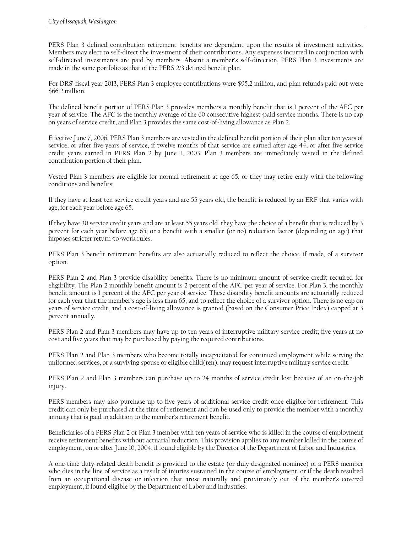PERS Plan 3 defined contribution retirement benefits are dependent upon the results of investment activities. Members may elect to self-direct the investment of their contributions. Any expenses incurred in conjunction with self-directed investments are paid by members. Absent a member's self-direction, PERS Plan 3 investments are made in the same portfolio as that of the PERS 2/3 defined benefit plan.

For DRS' fiscal year 2013, PERS Plan 3 employee contributions were \$95.2 million, and plan refunds paid out were \$66.2 million.

The defined benefit portion of PERS Plan 3 provides members a monthly benefit that is 1 percent of the AFC per year of service. The AFC is the monthly average of the 60 consecutive highest-paid service months. There is no cap on years of service credit, and Plan 3 provides the same cost-of-living allowance as Plan 2.

Effective June 7, 2006, PERS Plan 3 members are vested in the defined benefit portion of their plan after ten years of service; or after five years of service, if twelve months of that service are earned after age 44; or after five service credit years earned in PERS Plan 2 by June 1, 2003. Plan 3 members are immediately vested in the defined contribution portion of their plan.

Vested Plan 3 members are eligible for normal retirement at age 65, or they may retire early with the following conditions and benefits:

If they have at least ten service credit years and are 55 years old, the benefit is reduced by an ERF that varies with age, for each year before age 65.

If they have 30 service credit years and are at least 55 years old, they have the choice of a benefit that is reduced by 3 percent for each year before age 65; or a benefit with a smaller (or no) reduction factor (depending on age) that imposes stricter return-to-work rules.

PERS Plan 3 benefit retirement benefits are also actuarially reduced to reflect the choice, if made, of a survivor option.

PERS Plan 2 and Plan 3 provide disability benefits. There is no minimum amount of service credit required for eligibility. The Plan 2 monthly benefit amount is 2 percent of the AFC per year of service. For Plan 3, the monthly benefit amount is 1 percent of the AFC per year of service. These disability benefit amounts are actuarially reduced for each year that the member's age is less than 65, and to reflect the choice of a survivor option. There is no cap on years of service credit, and a cost-of-living allowance is granted (based on the Consumer Price Index) capped at 3 percent annually.

PERS Plan 2 and Plan 3 members may have up to ten years of interruptive military service credit; five years at no cost and five years that may be purchased by paying the required contributions.

PERS Plan 2 and Plan 3 members who become totally incapacitated for continued employment while serving the uniformed services, or a surviving spouse or eligible child(ren), may request interruptive military service credit.

PERS Plan 2 and Plan 3 members can purchase up to 24 months of service credit lost because of an on-the-job injury.

PERS members may also purchase up to five years of additional service credit once eligible for retirement. This credit can only be purchased at the time of retirement and can be used only to provide the member with a monthly annuity that is paid in addition to the member's retirement benefit.

Beneficiaries of a PERS Plan 2 or Plan 3 member with ten years of service who is killed in the course of employment receive retirement benefits without actuarial reduction. This provision applies to any member killed in the course of employment, on or after June 10, 2004, if found eligible by the Director of the Department of Labor and Industries.

A one-time duty-related death benefit is provided to the estate (or duly designated nominee) of a PERS member who dies in the line of service as a result of injuries sustained in the course of employment, or if the death resulted from an occupational disease or infection that arose naturally and proximately out of the member's covered employment, if found eligible by the Department of Labor and Industries.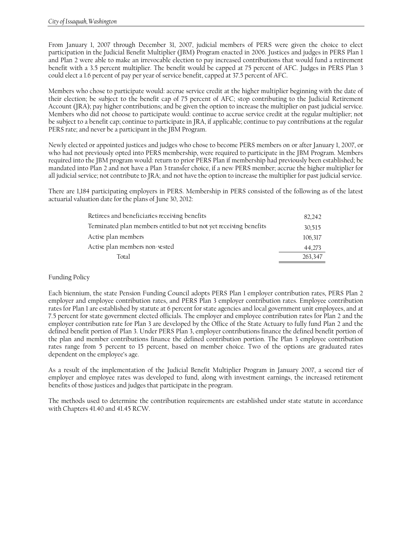From January 1, 2007 through December 31, 2007, judicial members of PERS were given the choice to elect participation in the Judicial Benefit Multiplier (JBM) Program enacted in 2006. Justices and judges in PERS Plan 1 and Plan 2 were able to make an irrevocable election to pay increased contributions that would fund a retirement benefit with a 3.5 percent multiplier. The benefit would be capped at 75 percent of AFC. Judges in PERS Plan 3 could elect a 1.6 percent of pay per year of service benefit, capped at 37.5 percent of AFC.

Members who chose to participate would: accrue service credit at the higher multiplier beginning with the date of their election; be subject to the benefit cap of 75 percent of AFC; stop contributing to the Judicial Retirement Account (JRA); pay higher contributions; and be given the option to increase the multiplier on past judicial service. Members who did not choose to participate would: continue to accrue service credit at the regular multiplier; not be subject to a benefit cap; continue to participate in JRA, if applicable; continue to pay contributions at the regular PERS rate; and never be a participant in the JBM Program.

Newly elected or appointed justices and judges who chose to become PERS members on or after January 1, 2007, or who had not previously opted into PERS membership, were required to participate in the JBM Program. Members required into the JBM program would: return to prior PERS Plan if membership had previously been established; be mandated into Plan 2 and not have a Plan 3 transfer choice, if a new PERS member; accrue the higher multiplier for all judicial service; not contribute to JRA; and not have the option to increase the multiplier for past judicial service.

There are 1,184 participating employers in PERS. Membership in PERS consisted of the following as of the latest actuarial valuation date for the plans of June 30, 2012:

| Total                                                              | 263,347 |
|--------------------------------------------------------------------|---------|
| Active plan members non-vested                                     | 44,273  |
| Active plan members                                                | 106,317 |
| Terminated plan members entitled to but not yet receiving benefits | 30,515  |
| Retirees and beneficiaries receiving benefits                      | 82,242  |

# Funding Policy

Each biennium, the state Pension Funding Council adopts PERS Plan 1 employer contribution rates, PERS Plan 2 employer and employee contribution rates, and PERS Plan 3 employer contribution rates. Employee contribution rates for Plan 1 are established by statute at 6 percent for state agencies and local government unit employees, and at 7.5 percent for state government elected officials. The employer and employee contribution rates for Plan 2 and the employer contribution rate for Plan 3 are developed by the Office of the State Actuary to fully fund Plan 2 and the defined benefit portion of Plan 3. Under PERS Plan 3, employer contributions finance the defined benefit portion of the plan and member contributions finance the defined contribution portion. The Plan 3 employee contribution rates range from 5 percent to 15 percent, based on member choice. Two of the options are graduated rates dependent on the employee's age.

As a result of the implementation of the Judicial Benefit Multiplier Program in January 2007, a second tier of employer and employee rates was developed to fund, along with investment earnings, the increased retirement benefits of those justices and judges that participate in the program.

The methods used to determine the contribution requirements are established under state statute in accordance with Chapters 41.40 and 41.45 RCW.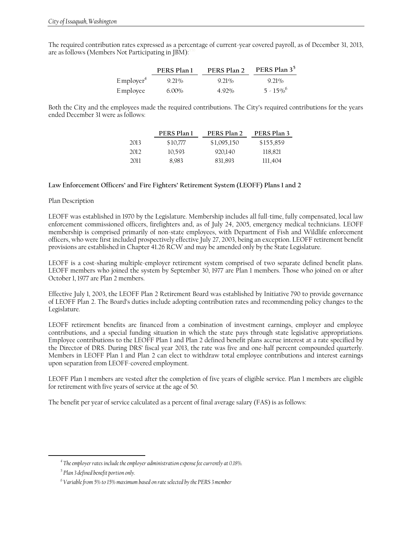The required contribution rates expressed as a percentage of current-year covered payroll, as of December 31, 2013, are as follows (Members Not Participating in JBM):  $^{456}$ 

|                       | PERS Plan 1 | PFRS Plan 2 | PERS Plan 3 <sup>5</sup> |
|-----------------------|-------------|-------------|--------------------------|
| Employer <sup>4</sup> | 9.21%       | $9.21\%$    | 9.21%                    |
| Employee              | $6.00\%$    | 4.92%       | $5 - 15\%$               |

Both the City and the employees made the required contributions. The City's required contributions for the years ended December 31 were as follows:

|      | PERS Plan 1 | PERS Plan 2 | PERS Plan 3 |
|------|-------------|-------------|-------------|
| 2013 | \$10,777    | \$1,095,150 | \$155,859   |
| 2012 | 10.593      | 920,140     | 118,821     |
| 2011 | 8.983       | 831,893     | 111,404     |

#### **Law Enforcement Officers' and Fire Fighters' Retirement System (LEOFF) Plans 1 and 2**

#### Plan Description

LEOFF was established in 1970 by the Legislature. Membership includes all full-time, fully compensated, local law enforcement commissioned officers, firefighters and, as of July 24, 2005, emergency medical technicians. LEOFF membership is comprised primarily of non-state employees, with Department of Fish and Wildlife enforcement officers, who were first included prospectively effective July 27, 2003, being an exception. LEOFF retirement benefit provisions are established in Chapter 41.26 RCW and may be amended only by the State Legislature.

LEOFF is a cost-sharing multiple-employer retirement system comprised of two separate defined benefit plans. LEOFF members who joined the system by September 30, 1977 are Plan 1 members. Those who joined on or after October 1, 1977 are Plan 2 members.

Effective July 1, 2003, the LEOFF Plan 2 Retirement Board was established by Initiative 790 to provide governance of LEOFF Plan 2. The Board's duties include adopting contribution rates and recommending policy changes to the Legislature.

LEOFF retirement benefits are financed from a combination of investment earnings, employer and employee contributions, and a special funding situation in which the state pays through state legislative appropriations. Employee contributions to the LEOFF Plan 1 and Plan 2 defined benefit plans accrue interest at a rate specified by the Director of DRS. During DRS' fiscal year 2013, the rate was five and one-half percent compounded quarterly. Members in LEOFF Plan 1 and Plan 2 can elect to withdraw total employee contributions and interest earnings upon separation from LEOFF-covered employment.

LEOFF Plan 1 members are vested after the completion of five years of eligible service. Plan 1 members are eligible for retirement with five years of service at the age of 50.

The benefit per year of service calculated as a percent of final average salary (FAS) is as follows:

l

*<sup>4</sup> The employer rates include the employer administration expense fee currently at 0.18%.*

*<sup>5</sup> Plan 3 defined benefit portion only.*

*<sup>6</sup> Variable from 5% to 15% maximum based on rate selected by the PERS 3 member*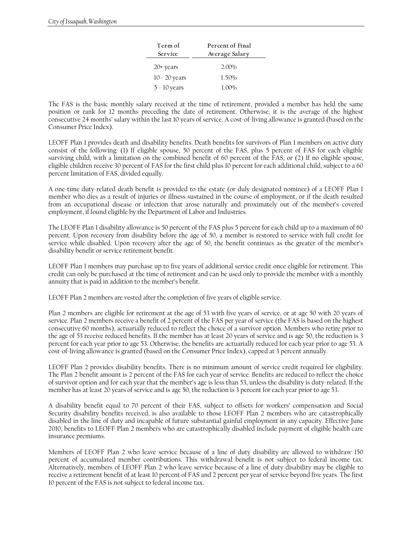| Term of<br>Service | Percent of Final<br>Average Salary |
|--------------------|------------------------------------|
| $20+$ years        | 2.00%                              |
| $10 - 20$ years    | 1.50%                              |
| $5 - 10$ years     | $1.00\%$                           |

The FAS is the basic monthly salary received at the time of retirement, provided a member has held the same position or rank for 12 months preceding the date of retirement. Otherwise, it is the average of the highest consecutive 24 months' salary within the last 10 years of service. A cost-of-living allowance is granted (based on the Consumer Price Index).

LEOFF Plan 1 provides death and disability benefits. Death benefits for survivors of Plan 1 members on active duty consist of the following: (1) If eligible spouse, 50 percent of the FAS, plus 5 percent of FAS for each eligible surviving child, with a limitation on the combined benefit of 60 percent of the FAS; or (2) If no eligible spouse, eligible children receive 30 percent of FAS for the first child plus 10 percent for each additional child, subject to a 60 percent limitation of FAS, divided equally.

A one-time duty-related death benefit is provided to the estate (or duly designated nominee) of a LEOFF Plan 1 member who dies as a result of injuries or illness sustained in the course of employment, or if the death resulted from an occupational disease or infection that arose naturally and proximately out of the member's covered employment, if found eligible by the Department of Labor and Industries.

The LEOFF Plan 1 disability allowance is 50 percent of the FAS plus 5 percent for each child up to a maximum of 60 percent. Upon recovery from disability before the age of 50, a member is restored to service with full credit for service while disabled. Upon recovery after the age of 50, the benefit continues as the greater of the member's disability benefit or service retirement benefit.

LEOFF Plan 1 members may purchase up to five years of additional service credit once eligible for retirement. This credit can only be purchased at the time of retirement and can be used only to provide the member with a monthly annuity that is paid in addition to the member's benefit.

LEOFF Plan 2 members are vested after the completion of five years of eligible service.

Plan 2 members are eligible for retirement at the age of 53 with five years of service, or at age 50 with 20 years of service. Plan 2 members receive a benefit of 2 percent of the FAS per year of service (the FAS is based on the highest consecutive 60 months), actuarially reduced to reflect the choice of a survivor option. Members who retire prior to the age of 53 receive reduced benefits. If the member has at least 20 years of service and is age 50, the reduction is 3 percent for each year prior to age 53. Otherwise, the benefits are actuarially reduced for each year prior to age 53. A cost-of-living allowance is granted (based on the Consumer Price Index), capped at 3 percent annually.

LEOFF Plan 2 provides disability benefits. There is no minimum amount of service credit required for eligibility. The Plan 2 benefit amount is 2 percent of the FAS for each year of service. Benefits are reduced to reflect the choice of survivor option and for each year that the member's age is less than 53, unless the disability is duty-related. If the member has at least 20 years of service and is age 50, the reduction is 3 percent for each year prior to age 53.

A disability benefit equal to 70 percent of their FAS, subject to offsets for workers' compensation and Social Security disability benefits received, is also available to those LEOFF Plan 2 members who are catastrophically disabled in the line of duty and incapable of future substantial gainful employment in any capacity. Effective June 2010, benefits to LEOFF Plan 2 members who are catastrophically disabled include payment of eligible health care insurance premiums.

Members of LEOFF Plan 2 who leave service because of a line of duty disability are allowed to withdraw 150 percent of accumulated member contributions. This withdrawal benefit is not subject to federal income tax. Alternatively, members of LEOFF Plan 2 who leave service because of a line of duty disability may be eligible to receive a retirement benefit of at least 10 percent of FAS and 2 percent per year of service beyond five years. The first 10 percent of the FAS is not subject to federal income tax.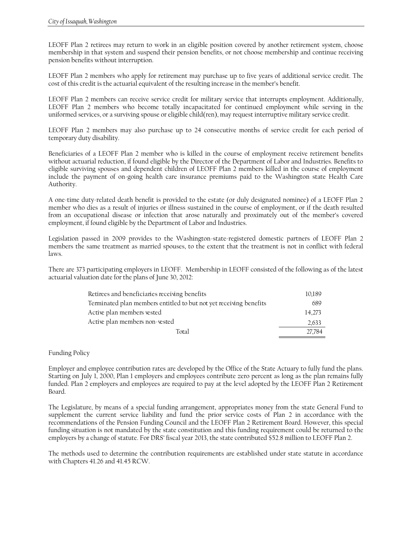LEOFF Plan 2 retirees may return to work in an eligible position covered by another retirement system, choose membership in that system and suspend their pension benefits, or not choose membership and continue receiving pension benefits without interruption.

LEOFF Plan 2 members who apply for retirement may purchase up to five years of additional service credit. The cost of this credit is the actuarial equivalent of the resulting increase in the member's benefit.

LEOFF Plan 2 members can receive service credit for military service that interrupts employment. Additionally, LEOFF Plan 2 members who become totally incapacitated for continued employment while serving in the uniformed services, or a surviving spouse or eligible child(ren), may request interruptive military service credit.

LEOFF Plan 2 members may also purchase up to 24 consecutive months of service credit for each period of temporary duty disability.

Beneficiaries of a LEOFF Plan 2 member who is killed in the course of employment receive retirement benefits without actuarial reduction, if found eligible by the Director of the Department of Labor and Industries. Benefits to eligible surviving spouses and dependent children of LEOFF Plan 2 members killed in the course of employment include the payment of on-going health care insurance premiums paid to the Washington state Health Care Authority.

A one-time duty-related death benefit is provided to the estate (or duly designated nominee) of a LEOFF Plan 2 member who dies as a result of injuries or illness sustained in the course of employment, or if the death resulted from an occupational disease or infection that arose naturally and proximately out of the member's covered employment, if found eligible by the Department of Labor and Industries.

Legislation passed in 2009 provides to the Washington-state-registered domestic partners of LEOFF Plan 2 members the same treatment as married spouses, to the extent that the treatment is not in conflict with federal laws.

There are 373 participating employers in LEOFF. Membership in LEOFF consisted of the following as of the latest actuarial valuation date for the plans of June 30, 2012:

| Retirees and beneficiaries receiving benefits                      | 10,189 |
|--------------------------------------------------------------------|--------|
| Terminated plan members entitled to but not yet receiving benefits | 689    |
| Active plan members vested                                         | 14.273 |
| Active plan members non-vested                                     | 2.633  |
| Total                                                              | 27.784 |

#### Funding Policy

Employer and employee contribution rates are developed by the Office of the State Actuary to fully fund the plans. Starting on July 1, 2000, Plan 1 employers and employees contribute zero percent as long as the plan remains fully funded. Plan 2 employers and employees are required to pay at the level adopted by the LEOFF Plan 2 Retirement Board.

The Legislature, by means of a special funding arrangement, appropriates money from the state General Fund to supplement the current service liability and fund the prior service costs of Plan 2 in accordance with the recommendations of the Pension Funding Council and the LEOFF Plan 2 Retirement Board. However, this special funding situation is not mandated by the state constitution and this funding requirement could be returned to the employers by a change of statute. For DRS' fiscal year 2013, the state contributed \$52.8 million to LEOFF Plan 2.

The methods used to determine the contribution requirements are established under state statute in accordance with Chapters 41.26 and 41.45 RCW.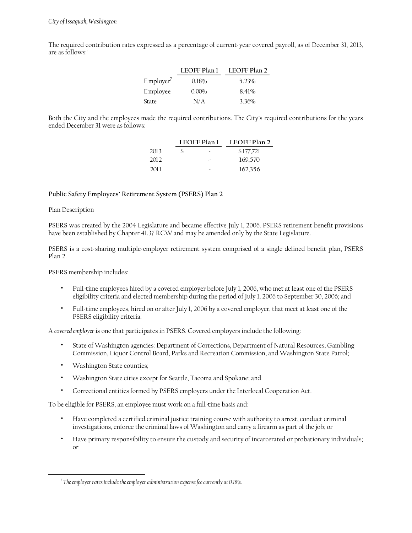The required contribution rates expressed as a percentage of current-year covered payroll, as of December 31, 2013, are as follows:

|              | <b>LEOFF Plan 1</b> | I FOFF Plan 2 |
|--------------|---------------------|---------------|
| $Emplayer^7$ | 0.18%               | 5.23%         |
| Employee     | $0.00\%$            | 8.41%         |
| State        | N/A                 | $3.36\%$      |

Both the City and the employees made the required contributions. The City's required contributions for the years ended December 31 were as follows:

|      |     | I FOFF Plan 1 | I FOFF Plan 2 |
|------|-----|---------------|---------------|
| 2013 | \$. |               | \$177,721     |
| 2012 |     |               | 169,570       |
| 2011 |     |               | 162,356       |

#### **Public Safety Employees' Retirement System (PSERS) Plan 2**

#### Plan Description

l

PSERS was created by the 2004 Legislature and became effective July 1, 2006. PSERS retirement benefit provisions have been established by Chapter 41.37 RCW and may be amended only by the State Legislature.

PSERS is a cost-sharing multiple-employer retirement system comprised of a single defined benefit plan, PSERS Plan 2.

PSERS membership includes:

- Full-time employees hired by a covered employer before July 1, 2006, who met at least one of the PSERS eligibility criteria and elected membership during the period of July 1, 2006 to September 30, 2006; and
- Full-time employees, hired on or after July 1, 2006 by a covered employer, that meet at least one of the PSERS eligibility criteria.

A *covered employer* is one that participates in PSERS. Covered employers include the following:

- State of Washington agencies: Department of Corrections, Department of Natural Resources, Gambling Commission, Liquor Control Board, Parks and Recreation Commission, and Washington State Patrol;
- Washington State counties;
- Washington State cities except for Seattle, Tacoma and Spokane; and
- Correctional entities formed by PSERS employers under the Interlocal Cooperation Act.

To be eligible for PSERS, an employee must work on a full-time basis and:

- Have completed a certified criminal justice training course with authority to arrest, conduct criminal investigations, enforce the criminal laws of Washington and carry a firearm as part of the job; or
- Have primary responsibility to ensure the custody and security of incarcerated or probationary individuals; or

*<sup>7</sup> The employer rates include the employer administration expense fee currently at 0.18%.*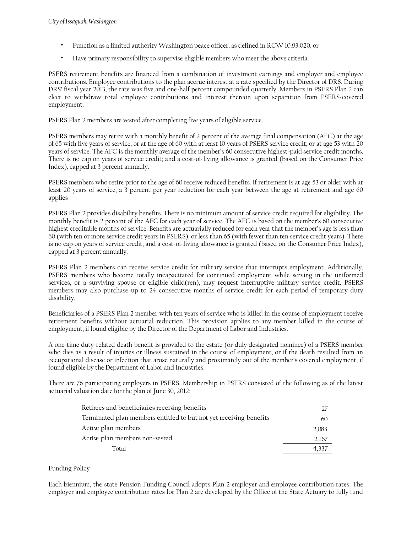- Function as a limited authority Washington peace officer, as defined in RCW 10.93.020; or
- Have primary responsibility to supervise eligible members who meet the above criteria.

PSERS retirement benefits are financed from a combination of investment earnings and employer and employee contributions. Employee contributions to the plan accrue interest at a rate specified by the Director of DRS. During DRS' fiscal year 2013, the rate was five and one-half percent compounded quarterly. Members in PSERS Plan 2 can elect to withdraw total employee contributions and interest thereon upon separation from PSERS-covered employment.

PSERS Plan 2 members are vested after completing five years of eligible service.

PSERS members may retire with a monthly benefit of 2 percent of the average final compensation (AFC) at the age of 65 with five years of service, or at the age of 60 with at least 10 years of PSERS service credit, or at age 53 with 20 years of service. The AFC is the monthly average of the member's 60 consecutive highest-paid service credit months. There is no cap on years of service credit; and a cost-of-living allowance is granted (based on the Consumer Price Index), capped at 3 percent annually.

PSERS members who retire prior to the age of 60 receive reduced benefits. If retirement is at age 53 or older with at least 20 years of service, a 3 percent per year reduction for each year between the age at retirement and age 60 applies

PSERS Plan 2 provides disability benefits. There is no minimum amount of service credit required for eligibility. The monthly benefit is 2 percent of the AFC for each year of service. The AFC is based on the member's 60 consecutive highest creditable months of service. Benefits are actuarially reduced for each year that the member's age is less than 60 (with ten or more service credit years in PSERS), or less than 65 (with fewer than ten service credit years). There is no cap on years of service credit, and a cost-of-living allowance is granted (based on the Consumer Price Index), capped at 3 percent annually.

PSERS Plan 2 members can receive service credit for military service that interrupts employment. Additionally, PSERS members who become totally incapacitated for continued employment while serving in the uniformed services, or a surviving spouse or eligible child(ren), may request interruptive military service credit. PSERS members may also purchase up to 24 consecutive months of service credit for each period of temporary duty disability.

Beneficiaries of a PSERS Plan 2 member with ten years of service who is killed in the course of employment receive retirement benefits without actuarial reduction. This provision applies to any member killed in the course of employment, if found eligible by the Director of the Department of Labor and Industries.

A one-time duty-related death benefit is provided to the estate (or duly designated nominee) of a PSERS member who dies as a result of injuries or illness sustained in the course of employment, or if the death resulted from an occupational disease or infection that arose naturally and proximately out of the member's covered employment, if found eligible by the Department of Labor and Industries.

There are 76 participating employers in PSERS. Membership in PSERS consisted of the following as of the latest actuarial valuation date for the plan of June 30, 2012:

| Retirees and beneficiaries receiving benefits                      | 27    |
|--------------------------------------------------------------------|-------|
| Terminated plan members entitled to but not yet receiving benefits | 60    |
| Active plan members                                                | 2.083 |
| Active plan members non-vested                                     | 2,167 |
| Total                                                              | 4.337 |

#### Funding Policy

Each biennium, the state Pension Funding Council adopts Plan 2 employer and employee contribution rates. The employer and employee contribution rates for Plan 2 are developed by the Office of the State Actuary to fully fund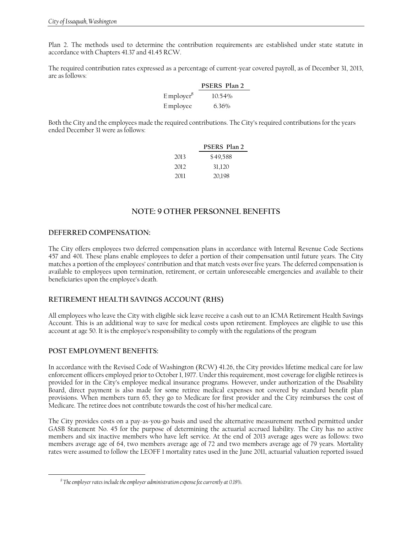Plan 2. The methods used to determine the contribution requirements are established under state statute in accordance with Chapters 41.37 and 41.45 RCW.

The required contribution rates expressed as a percentage of current-year covered payroll, as of December 31, 2013, are as follows:

|                       | PSERS Plan 2 |
|-----------------------|--------------|
| Employer <sup>8</sup> | 10.54%       |
| Employee              | $6.36\%$     |

Both the City and the employees made the required contributions. The City's required contributions for the years ended December 31 were as follows:

|      | PSERS Plan 2 |
|------|--------------|
| 2013 | \$49,588     |
| 2012 | 31,120       |
| 2011 | 20,198       |

# **NOTE: 9 OTHER PERSONNEL BENEFITS**

#### **DEFERRED COMPENSATION:**

The City offers employees two deferred compensation plans in accordance with Internal Revenue Code Sections 457 and 401. These plans enable employees to defer a portion of their compensation until future years. The City matches a portion of the employees' contribution and that match vests over five years. The deferred compensation is available to employees upon termination, retirement, or certain unforeseeable emergencies and available to their beneficiaries upon the employee's death.

# **RETIREMENT HEALTH SAVINGS ACCOUNT (RHS)**

All employees who leave the City with eligible sick leave receive a cash out to an ICMA Retirement Health Savings Account. This is an additional way to save for medical costs upon retirement. Employees are eligible to use this account at age 50. It is the employee's responsibility to comply with the regulations of the program

# **POST EMPLOYMENT BENEFITS:**

l

In accordance with the Revised Code of Washington (RCW) 41.26, the City provides lifetime medical care for law enforcement officers employed prior to October 1, 1977. Under this requirement, most coverage for eligible retirees is provided for in the City's employee medical insurance programs. However, under authorization of the Disability Board, direct payment is also made for some retiree medical expenses not covered by standard benefit plan provisions. When members turn 65, they go to Medicare for first provider and the City reimburses the cost of Medicare. The retiree does not contribute towards the cost of his/her medical care.

The City provides costs on a pay-as-you-go basis and used the alternative measurement method permitted under GASB Statement No. 45 for the purpose of determining the actuarial accrued liability. The City has no active members and six inactive members who have left service. At the end of 2013 average ages were as follows: two members average age of 64, two members average age of 72 and two members average age of 79 years. Mortality rates were assumed to follow the LEOFF 1 mortality rates used in the June 2011, actuarial valuation reported issued

*<sup>8</sup> The employer rates include the employer administration expense fee currently at 0.18%.*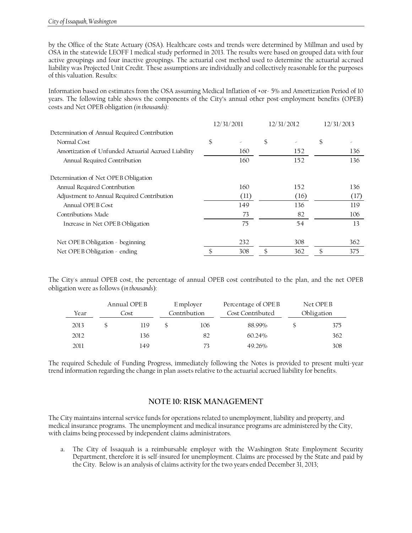by the Office of the State Actuary (OSA). Healthcare costs and trends were determined by Millman and used by OSA in the statewide LEOFF 1 medical study performed in 2013. The results were based on grouped data with four active groupings and four inactive groupings. The actuarial cost method used to determine the actuarial accrued liability was Projected Unit Credit. These assumptions are individually and collectively reasonable for the purposes of this valuation. Results:

Information based on estimates from the OSA assuming Medical Inflation of +or- 5% and Amortization Period of 10 years. The following table shows the components of the City's annual other post-employment benefits (OPEB) costs and Net OPEB obligation *(in thousands):*

|                                                      | 12/31/2011 | 12/31/2012 | 12/31/2013 |
|------------------------------------------------------|------------|------------|------------|
| Determination of Annual Required Contribution        |            |            |            |
| Normal Cost                                          | \$<br>-    | \$<br>×    | \$         |
| Amortization of Unfunded Actuarial Accrued Liability | 160        | 152        | 136        |
| Annual Required Contribution                         | 160        | 152        | 136        |
| Determination of Net OPEB Obligation                 |            |            |            |
| Annual Required Contribution                         | 160        | 152        | 136        |
| Adjustment to Annual Required Contribution           | (11)       | (16)       | (17)       |
| Annual OPEB Cost                                     | 149        | 136        | 119        |
| Contributions Made                                   | 73         | 82         | 106        |
| Increase in Net OPEB Obligation                      | 75         | 54         | 13         |
| Net OPE B Obligation - beginning                     | 232        | 308        | 362        |
| Net OPEB Obligation - ending                         | 308        | 362        | \$<br>375  |

The City's annual OPEB cost, the percentage of annual OPEB cost contributed to the plan, and the net OPEB obligation were as follows (*in thousands*):<br>Annual OPEB Employer Percentage of OPEB Net OPEB<br>Year Cost Contribution obligation were as follows (*in thousands*):

|              |      | ation were as follows (in thousands): |                     | City's annual OPEB cost, the percentage of annual OPEB cost contributed to the plan, and the net ( |    |            |
|--------------|------|---------------------------------------|---------------------|----------------------------------------------------------------------------------------------------|----|------------|
| Annual OPE B |      | Employer                              | Percentage of OPE B | Net OPE B                                                                                          |    |            |
|              | Year | Cost                                  | Contribution        | Cost Contributed                                                                                   |    | Obligation |
|              | 2013 | \$<br>119                             | 106                 | 88.99%                                                                                             | S. | 375        |
|              | 2012 | 136                                   | 82                  | 60.24%                                                                                             |    | 362        |
|              | 2011 | 149                                   | 73                  | 49.26%                                                                                             |    | 308        |

The required Schedule of Funding Progress, immediately following the Notes is provided to present multi-year trend information regarding the change in plan assets relative to the actuarial accrued liability for benefits.

# **NOTE 10: RISK MANAGEMENT**

The City maintains internal service funds for operations related to unemployment, liability and property, and medical insurance programs. The unemployment and medical insurance programs are administered by the City, with claims being processed by independent claims administrators.

a. The City of Issaquah is a reimbursable employer with the Washington State Employment Security Department, therefore it is self-insured for unemployment. Claims are processed by the State and paid by the City. Below is an analysis of claims activity for the two years ended December 31, 2013;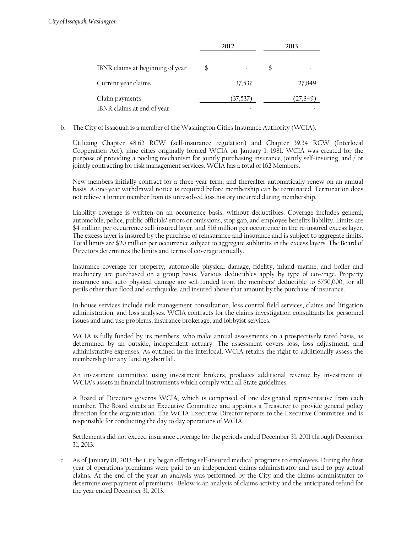|                                              | 2012      | 2013      |
|----------------------------------------------|-----------|-----------|
| IBNR claims at beginning of year             |           |           |
| Current year claims                          | 37,537    | 27,849    |
| Claim payments<br>IBNR claims at end of year | (37, 537) | (27, 849) |

#### b. The City of Issaquah is a member of the Washington Cities Insurance Authority (WCIA).

Utilizing Chapter 48.62 RCW (self-insurance regulation) and Chapter 39.34 RCW (Interlocal Cooperation Act), nine cities originally formed WCIA on January 1, 1981. WCIA was created for the purpose of providing a pooling mechanism for jointly purchasing insurance, jointly self-insuring, and / or jointly contracting for risk management services. WCIA has a total of 162 Members.

New members initially contract for a three-year term, and thereafter automatically renew on an annual basis. A one-year withdrawal notice is required before membership can be terminated. Termination does not relieve a former member from its unresolved loss history incurred during membership.

Liability coverage is written on an occurrence basis, without deductibles. Coverage includes general, automobile, police, public officials' errors or omissions, stop gap, and employee benefits liability. Limits are \$4 million per occurrence self-insured layer, and \$16 million per occurrence in the re-insured excess layer. The excess layer is insured by the purchase of reinsurance and insurance and is subject to aggregate limits. Total limits are \$20 million per occurrence subject to aggregate sublimits in the excess layers. The Board of Directors determines the limits and terms of coverage annually.

Insurance coverage for property, automobile physical damage, fidelity, inland marine, and boiler and machinery are purchased on a group basis. Various deductibles apply by type of coverage. Property insurance and auto physical damage are self-funded from the members' deductible to \$750,000, for all perils other than flood and earthquake, and insured above that amount by the purchase of insurance.

In-house services include risk management consultation, loss control field services, claims and litigation administration, and loss analyses. WCIA contracts for the claims investigation consultants for personnel issues and land use problems, insurance brokerage, and lobbyist services.

WCIA is fully funded by its members, who make annual assessments on a prospectively rated basis, as determined by an outside, independent actuary. The assessment covers loss, loss adjustment, and administrative expenses. As outlined in the interlocal, WCIA retains the right to additionally assess the membership for any funding shortfall.

An investment committee, using investment brokers, produces additional revenue by investment of WCIA's assets in financial instruments which comply with all State guidelines.

A Board of Directors governs WCIA, which is comprised of one designated representative from each member. The Board elects an Executive Committee and appoints a Treasurer to provide general policy direction for the organization. The WCIA Executive Director reports to the Executive Committee and is responsible for conducting the day to day operations of WCIA.

Settlements did not exceed insurance coverage for the periods ended December 31, 2011 through December 31, 2013.

c. As of January 01, 2013 the City began offering self-insured medical programs to employees. During the first year of operations premiums were paid to an independent claims administrator and used to pay actual claims. At the end of the year an analysis was performed by the City and the claims administrator to determine overpayment of premiums. Below is an analysis of claims activity and the anticipated refund for the year ended December 31, 2013;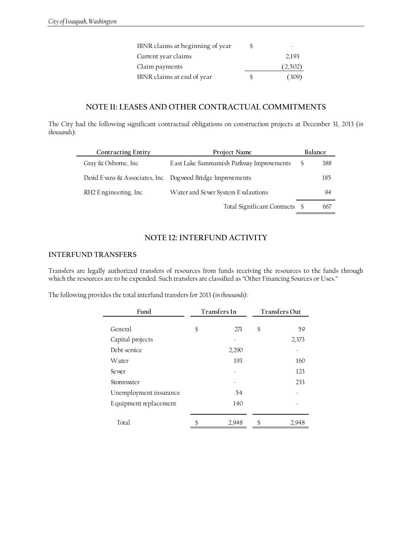| IBNR claims at beginning of year | ⇁       |
|----------------------------------|---------|
| Current year claims              | 2.193   |
| Claim payments                   | (2,502) |
| IBNR claims at end of year       | (309)   |

# **NOTE 11: LEASES AND OTHER CONTRACTUAL COMMITMENTS**

The City had the following significant contractual obligations on construction projects at December 31, 2013 (*in thousands*):

| <b>Contracting Entity</b>        | Project Name                                              | <b>Balance</b> |     |  |
|----------------------------------|-----------------------------------------------------------|----------------|-----|--|
| Gray & Osborne, Inc              | East Lake Sammamish Parkway Improvements                  | \$             | 388 |  |
|                                  | David Evans & Associates, Inc Dogwood Bridge Improvements |                | 185 |  |
| RH <sub>2</sub> Engineering, Inc | Water and Sever System Evalautions                        |                | 94  |  |
|                                  | Total Significant Contracts \$                            |                | 667 |  |

# **NOTE 12: INTERFUND ACTIVITY**

# **INTERFUND TRANSFERS**

Transfers are legally authorized transfers of resources from funds receiving the resources to the funds through which the resources are to be expended. Such transfers are classified as "Other Financing Sources or Uses."

The following provides the total interfund transfers for 2013 (*in thousands)*:

| Fund                   | Transfers In | <b>Transfers Out</b> |
|------------------------|--------------|----------------------|
|                        |              |                      |
| General                | \$<br>271    | \$<br>59             |
| Capital projects       | ×            | 2,373                |
| Debt service           | 2,290        | ×                    |
| Water                  | 193          | 160                  |
| Sewer                  | ×            | 123                  |
| Stormwater             | ۰            | 233                  |
| Unemployment insurance | 54           | ×                    |
| Equipment replacement  | 140          | ×                    |
| Total                  | 2,948        | 2,948                |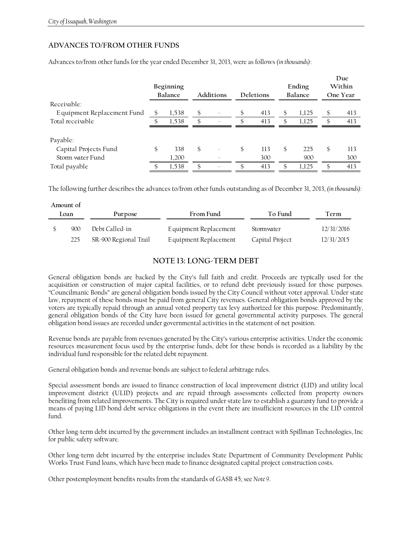# **ADVANCES TO/FROM OTHER FUNDS**

|                            | Beginning<br>Balance |              | Additions                |    | <b>Deletions</b> |    | Ending<br>Balance |    | Due<br>Within<br>One Year |
|----------------------------|----------------------|--------------|--------------------------|----|------------------|----|-------------------|----|---------------------------|
| Receivable:                |                      |              |                          |    |                  |    |                   |    |                           |
| Equipment Replacement Fund | 1,538                | \$           | $\overline{\phantom{a}}$ | \$ | 413              | \$ | 1,125             |    | 413                       |
| Total receivable           | 1,538                | \$           | $\sim$                   | \$ | 413              | \$ | 1,125             |    | 413                       |
|                            |                      |              |                          |    |                  |    |                   |    |                           |
| Payable:                   |                      |              |                          |    |                  |    |                   |    |                           |
| Capital Projects Fund      | \$<br>338            | $\mathbb{S}$ | ×                        | \$ | 113              | \$ | 225               | \$ | 113                       |
| Storm water Fund           | 1,200                |              | ×                        |    | 300              |    | 900               |    | 300                       |
| Total payable              | 1,538                | \$           | $\overline{\phantom{a}}$ | \$ | 413              | \$ | 1,125             | \$ | 413                       |

Advances to/from other funds for the year ended December 31, 2013, were as follows *(in thousands)*:

The following further describes the advances to/from other funds outstanding as of December 31, 2013, *(in thousands):*

| Amount of<br>Loan | Purpose               | From Fund             | To Fund         | Term       |
|-------------------|-----------------------|-----------------------|-----------------|------------|
| 900               | Debt Called-in        | Equipment Replacement | Stormwater      | 12/31/2016 |
| 225               | SR-900 Regional Trail | Equipment Replacement | Capital Project | 12/31/2015 |

# **NOTE 13: LONG-TERM DEBT**

General obligation bonds are backed by the City's full faith and credit. Proceeds are typically used for the acquisition or construction of major capital facilities, or to refund debt previously issued for those purposes. "Councilmanic Bonds" are general obligation bonds issued by the City Council without voter approval. Under state law, repayment of these bonds must be paid from general City revenues. General obligation bonds approved by the voters are typically repaid through an annual voted property tax levy authorized for this purpose. Predominantly, general obligation bonds of the City have been issued for general governmental activity purposes. The general obligation bond issues are recorded under governmental activities in the statement of net position.

Revenue bonds are payable from revenues generated by the City's various enterprise activities. Under the economic resources measurement focus used by the enterprise funds, debt for these bonds is recorded as a liability by the individual fund responsible for the related debt repayment.

General obligation bonds and revenue bonds are subject to federal arbitrage rules.

Special assessment bonds are issued to finance construction of local improvement district (LID) and utility local improvement district (ULID) projects and are repaid through assessments collected from property owners benefiting from related improvements. The City is required under state law to establish a guaranty fund to provide a means of paying LID bond debt service obligations in the event there are insufficient resources in the LID control fund.

Other long-term debt incurred by the government includes an installment contract with Spillman Technologies, Inc for public safety software.

Other long-term debt incurred by the enterprise includes State Department of Community Development Public Works Trust Fund loans, which have been made to finance designated capital project construction costs.

Other postemployment benefits results from the standards of GASB 45; see *Note 9*.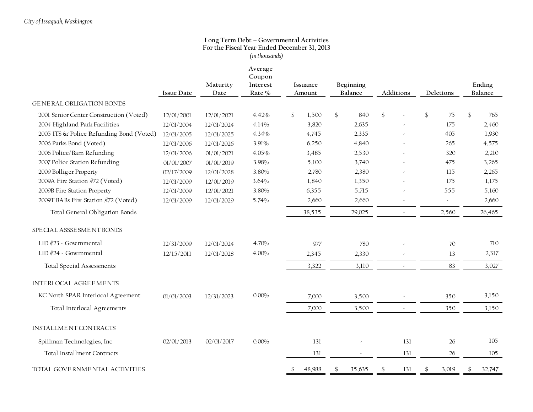# **Long Term Debt – Governmental Activities For the Fiscal Year Ended December 31, 2013** *(in thousands)*

|                                          |                   |                  | ( <i>in thousanas)</i>                  |               |                    |               |                      |               |           |    |           |               |                   |
|------------------------------------------|-------------------|------------------|-----------------------------------------|---------------|--------------------|---------------|----------------------|---------------|-----------|----|-----------|---------------|-------------------|
|                                          | <b>Issue Date</b> | Maturity<br>Date | Average<br>Coupon<br>Interest<br>Rate % |               | Issuance<br>Amount |               | Beginning<br>Balance |               | Additions |    | Deletions |               | Ending<br>Balance |
| <b>GENERAL OBLIGATION BONDS</b>          |                   |                  |                                         |               |                    |               |                      |               |           |    |           |               |                   |
| 2001 Senior Center Construction (Voted)  | 12/01/2001        | 12/01/2021       | 4.42%                                   | $\mathcal{S}$ | 1,500              | $\frac{1}{2}$ | 840                  | $\mathcal{S}$ |           | \$ | 75        | $\mathcal{S}$ | 765               |
| 2004 Highland Park Facilities            | 12/01/2004        | 12/01/2024       | 4.14%                                   |               | 3,820              |               | 2,635                |               |           |    | 175       |               | 2,460             |
| 2005 ITS & Police Refunding Bond (Voted) | 12/01/2005        | 12/01/2025       | 4.34%                                   |               | 4,745              |               | 2,335                |               |           |    | 405       |               | 1,930             |
| 2006 Parks Bond (Voted)                  | 12/01/2006        | 12/01/2026       | $3.91\%$                                |               | 6,250              |               | 4,840                |               |           |    | 265       |               | 4,575             |
| 2006 Police/Barn Refunding               | 12/01/2006        | 01/01/2021       | 4.05%                                   |               | 3,485              |               | 2,530                |               |           |    | 320       |               | 2,210             |
| 2007 Police Station Refunding            | 01/01/2007        | 01/01/2019       | 3.98%                                   |               | 5,100              |               | 3,740                |               |           |    | 475       |               | 3,265             |
| 2009 Bolliger Property                   | 02/17/2009        | 12/01/2028       | 3.80%                                   |               | 2,780              |               | 2,380                |               |           |    | 115       |               | 2,265             |
| 2009A Fire Station #72 (Voted)           | 12/01/2009        | 12/01/2019       | 3.64%                                   |               | 1,840              |               | 1,350                |               |           |    | 175       |               | 1,175             |
| 2009B Fire Station Property              | 12/01/2009        | 12/01/2021       | 3.80%                                   |               | 6,355              |               | 5,715                |               |           |    | 555       |               | 5,160             |
| 2009T BABs Fire Station #72 (Voted)      | 12/01/2009        | 12/01/2029       | 5.74%                                   |               | 2,660              |               | 2,660                |               |           |    | $\omega$  |               | 2,660             |
| Total General Obligation Bonds           |                   |                  |                                         |               | 38,535             |               | 29,025               |               |           |    | 2,560     |               | 26,465            |
| SPE CIAL ASSSE SME NT BONDS              |                   |                  |                                         |               |                    |               |                      |               |           |    |           |               |                   |
| LID #23 - Governmental                   | 12/31/2009        | 12/01/2024       | 4.70%                                   |               | 977                |               | 780                  |               |           |    | 70        |               | 710               |
| LID #24 - Governmental                   | 12/15/2011        | 12/01/2028       | 4.00%                                   |               | 2,345              |               | 2,330                |               |           |    | 13        |               | 2,317             |
| Total Special Assessments                |                   |                  |                                         |               | 3,322              |               | 3,110                |               |           |    | 83        |               | 3,027             |
| INTE RLOCAL AGREEMENTS                   |                   |                  |                                         |               |                    |               |                      |               |           |    |           |               |                   |
| KC North SPAR Interlocal Agreement       | 01/01/2003        | 12/31/2023       | 0.00%                                   |               | 7,000              |               | 3,500                |               |           |    | 350       |               | 3,150             |
| Total Interlocal Agreements              |                   |                  |                                         |               | 7,000              |               | 3,500                |               |           |    | 350       |               | 3,150             |
| <b>INSTALLMENT CONTRACTS</b>             |                   |                  |                                         |               |                    |               |                      |               |           |    |           |               |                   |
| Spillman Technologies, Inc               | 02/01/2013        | 02/01/2017       | $0.00\%$                                |               | 131                |               |                      |               | 131       |    | 26        |               | 105               |
| Total Installment Contracts              |                   |                  |                                         |               | 131                |               | $\sim$               |               | 131       |    | 26        |               | 105               |
| TOTAL GOVE RNME NTAL ACTIVITIES          |                   |                  |                                         |               | 48,988             | \$            | 35,635               | \$            | 131       | S  | 3,019     | <sup>\$</sup> | 32,747            |
|                                          |                   |                  |                                         |               |                    |               |                      |               |           |    |           |               |                   |
|                                          |                   |                  |                                         |               |                    |               |                      |               |           |    |           |               |                   |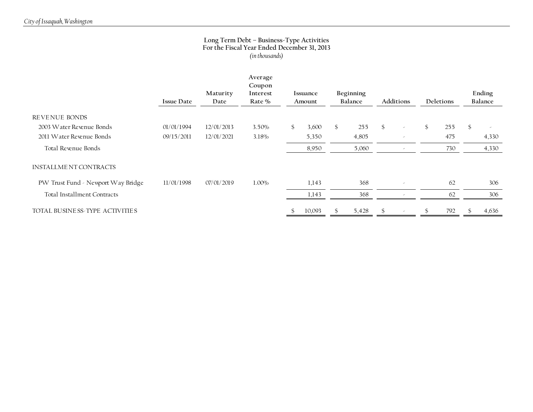#### **Long Term Debt – Business-Type Activities For the Fiscal Year Ended December 31, 2013** *(in thousands)*

|                                    | <b>Issue Date</b> | Maturity<br>Date | Average<br>Coupon<br>Interest<br>Rate % |               | Issuance<br>Amount | Beginning<br>Balance |    | Additions                | Deletions |               | Ending<br>Balance |
|------------------------------------|-------------------|------------------|-----------------------------------------|---------------|--------------------|----------------------|----|--------------------------|-----------|---------------|-------------------|
| REVENUE BONDS                      |                   |                  |                                         |               |                    |                      |    |                          |           |               |                   |
| 2003 Water Revenue Bonds           | 01/01/1994        | 12/01/2013       | $3.50\%$                                | $\mathcal{S}$ | 3,600              | \$<br>255            | \$ | $\sim$                   | \$<br>255 | $\frac{1}{2}$ |                   |
| 2011 Water Revenue Bonds           | 09/15/2011        | 12/01/2021       | 3.18%                                   |               | 5,350              | 4,805                |    | $\sim$                   | 475       |               | 4,330             |
| Total Revenue Bonds                |                   |                  |                                         |               | 8,950              | 5,060                |    |                          | 730       |               | 4,330             |
| <b>INSTALLMENT CONTRACTS</b>       |                   |                  |                                         |               |                    |                      |    |                          |           |               |                   |
| PW Trust Fund - Newport Way Bridge | 11/01/1998        | 07/01/2019       | $1.00\%$                                |               | 1,143              | 368                  |    | $\overline{\phantom{a}}$ | 62        |               | 306               |
| Total Installment Contracts        |                   |                  |                                         |               | 1,143              | 368                  |    |                          | 62        |               | 306               |
| TOTAL BUSINE SS-TYPE ACTIVITIES    |                   |                  |                                         | S.            | 10,093             | 5,428                | -S |                          | 792       | \$.           | 4,636             |
|                                    |                   |                  |                                         |               |                    |                      |    |                          |           |               |                   |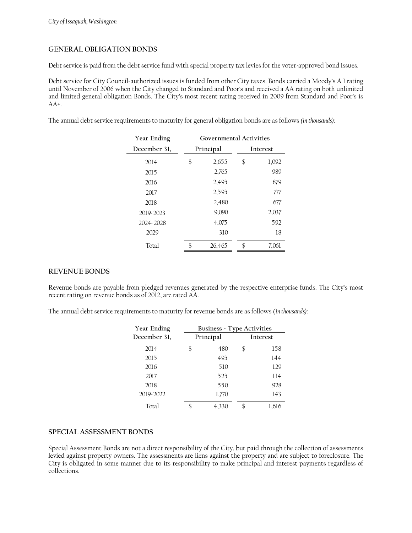## **GENERAL OBLIGATION BONDS**

Debt service is paid from the debt service fund with special property tax levies for the voter-approved bond issues.

Debt service for City Council-authorized issues is funded from other City taxes. Bonds carried a Moody's A 1 rating until November of 2006 when the City changed to Standard and Poor's and received a AA rating on both unlimited and limited general obligation Bonds. The City's most recent rating received in 2009 from Standard and Poor's is AA+.

The annual debt service requirements to maturity for general obligation bonds are as follows *(in thousands):*

| Year Ending  | Governmental Activities |           |    |          |  |  |  |  |  |
|--------------|-------------------------|-----------|----|----------|--|--|--|--|--|
| December 31, |                         | Principal |    | Interest |  |  |  |  |  |
| 2014         | \$                      | 2,655     | \$ | 1,092    |  |  |  |  |  |
| 2015         |                         | 2,765     |    | 989      |  |  |  |  |  |
| 2016         |                         | 2,495     |    | 879      |  |  |  |  |  |
| 2017         |                         | 2,595     |    | 777      |  |  |  |  |  |
| 2018         |                         | 2,480     |    | 677      |  |  |  |  |  |
| 2019-2023    |                         | 9,090     |    | 2,037    |  |  |  |  |  |
| 2024-2028    |                         | 4,075     |    | 592      |  |  |  |  |  |
| 2029         |                         | 310       |    | 18       |  |  |  |  |  |
| Total        | ¢<br>7,061<br>26,465    |           |    |          |  |  |  |  |  |

#### **REVENUE BONDS**

Revenue bonds are payable from pledged revenues generated by the respective enterprise funds. The City's most recent rating on revenue bonds as of 2012, are rated AA.

The annual debt service requirements to maturity for revenue bonds are as follows (*in thousands)*:

| Year Ending  | Business - Type Activities |           |  |          |  |  |  |  |  |  |
|--------------|----------------------------|-----------|--|----------|--|--|--|--|--|--|
| December 31, |                            | Principal |  | Interest |  |  |  |  |  |  |
| 2014         | \$                         | 480       |  | 158      |  |  |  |  |  |  |
| 2015         |                            | 495       |  | 144      |  |  |  |  |  |  |
| 2016         |                            | 510       |  | 129      |  |  |  |  |  |  |
| 2017         |                            | 525       |  | 114      |  |  |  |  |  |  |
| 2018         |                            | 550       |  | 928      |  |  |  |  |  |  |
| 2019-2022    |                            | 1,770     |  | 143      |  |  |  |  |  |  |
| Total        |                            | 4,330     |  | 1,616    |  |  |  |  |  |  |

# **SPECIAL ASSESSMENT BONDS**

Special Assessment Bonds are not a direct responsibility of the City, but paid through the collection of assessments levied against property owners. The assessments are liens against the property and are subject to foreclosure. The City is obligated in some manner due to its responsibility to make principal and interest payments regardless of collections.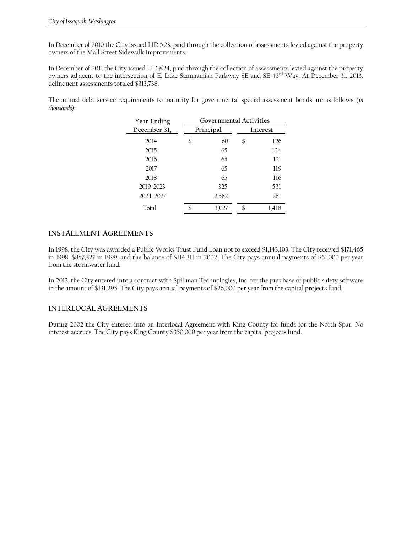In December of 2010 the City issued LID #23, paid through the collection of assessments levied against the property owners of the Mall Street Sidewalk Improvements.

In December of 2011 the City issued LID #24, paid through the collection of assessments levied against the property owners adjacent to the intersection of E. Lake Sammamish Parkway SE and SE 43<sup>rd</sup> Way. At December 31, 2013, delinquent assessments totaled \$313,738.

The annual debt service requirements to maturity for governmental special assessment bonds are as follows (*in thousands)*:

| Year Ending  | Governmental Activities |           |          |       |  |  |  |
|--------------|-------------------------|-----------|----------|-------|--|--|--|
| December 31, |                         | Principal | Interest |       |  |  |  |
| 2014         | \$                      | 60        | \$       | 126   |  |  |  |
| 2015         |                         | 65        |          | 124   |  |  |  |
| 2016         |                         | 65        |          | 121   |  |  |  |
| 2017         |                         | 65        |          | 119   |  |  |  |
| 2018         |                         | 65        |          | 116   |  |  |  |
| 2019-2023    |                         | 325       |          | 531   |  |  |  |
| 2024-2027    |                         | 2,382     |          | 281   |  |  |  |
| Total        |                         | 3,027     |          | 1,418 |  |  |  |

# **INSTALLMENT AGREEMENTS**

In 1998, the City was awarded a Public Works Trust Fund Loan not to exceed \$1,143,103. The City received \$171,465 in 1998, \$857,327 in 1999, and the balance of \$114,311 in 2002. The City pays annual payments of \$61,000 per year from the stormwater fund.

In 2013, the City entered into a contract with Spillman Technologies, Inc. for the purchase of public safety software in the amount of \$131,295. The City pays annual payments of \$26,000 per year from the capital projects fund.

# **INTERLOCAL AGREEMENTS**

During 2002 the City entered into an Interlocal Agreement with King County for funds for the North Spar. No interest accrues. The City pays King County \$350,000 per year from the capital projects fund.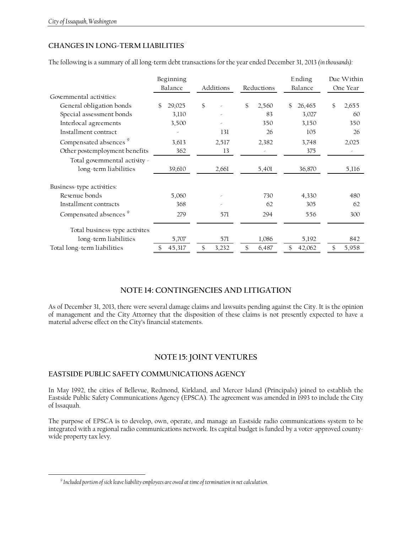# **CHANGES IN LONG-TERM LIABILITIES** *9*

|                                   | Beginning    |             |                |            | Ending       | Due Within  |
|-----------------------------------|--------------|-------------|----------------|------------|--------------|-------------|
|                                   | Balance      | Additions   |                | Reductions | Balance      | One Year    |
| Governmental activities:          |              |             |                |            |              |             |
| General obligation bonds          | \$<br>29,025 | \$          | $\mathfrak{L}$ | 2,560      | \$<br>26,465 | \$<br>2,655 |
| Special assessment bonds          | 3,110        |             |                | 83         | 3,027        | 60          |
| Interlocal agreements             | 3,500        |             |                | 350        | 3,150        | 350         |
| Installment contract              |              | 131         |                | 26         | 105          | 26          |
| Compensated absences <sup>9</sup> | 3,613        | 2,517       |                | 2,382      | 3,748        | 2,025       |
| Other postemployment benefits     | 362          | 13          |                |            | 375          | ×           |
| Total governmental activity -     |              |             |                |            |              |             |
| long-term liabilities             | 39,610       | 2,661       |                | 5,401      | 36,870       | 5,116       |
| Business-type activities:         |              |             |                |            |              |             |
| Revenue bonds                     | 5,060        |             |                | 730        | 4,330        | 480         |
| Installment contracts             | 368          |             |                | 62         | 305          | 62          |
| Compensated absences <sup>9</sup> | 279          | 571         |                | 294        | 556          | 300         |
| Total business-type activites     |              |             |                |            |              |             |
| long-term liabilities             | 5,707        | 571         |                | 1,086      | 5,192        | 842         |
| Total long-term liabilities       | \$<br>45,317 | \$<br>3,232 | \$             | 6,487      | \$<br>42,062 | \$<br>5,958 |

# **NOTE 14: CONTINGENCIES AND LITIGATION**

As of December 31, 2013, there were several damage claims and lawsuits pending against the City. It is the opinion of management and the City Attorney that the disposition of these claims is not presently expected to have a material adverse effect on the City's financial statements.

# **NOTE 15: JOINT VENTURES**

# **EASTSIDE PUBLIC SAFETY COMMUNICATIONS AGENCY**

In May 1992, the cities of Bellevue, Redmond, Kirkland, and Mercer Island (Principals) joined to establish the Eastside Public Safety Communications Agency (EPSCA). The agreement was amended in 1993 to include the City of Issaquah.

The purpose of EPSCA is to develop, own, operate, and manage an Eastside radio communications system to be integrated with a regional radio communications network. Its capital budget is funded by a voter-approved countywide property tax levy.

l

*<sup>9</sup> Included portion of sick leave liability employees are owed at time of termination in net calculation.*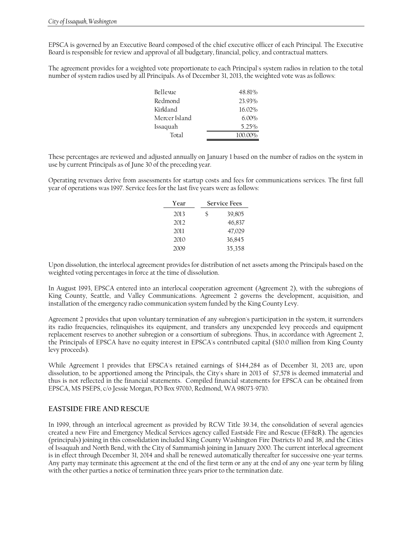EPSCA is governed by an Executive Board composed of the chief executive officer of each Principal. The Executive Board is responsible for review and approval of all budgetary, financial, policy, and contractual matters.

The agreement provides for a weighted vote proportionate to each Principal's system radios in relation to the total number of system radios used by all Principals. As of December 31, 2013, the weighted vote was as follows:

| Bellewe       | 48.81%   |
|---------------|----------|
| Redmond       | 23.93%   |
| Kirkland      | 16.02%   |
| Mercer Island | $6.00\%$ |
| Issaquah      | 5.25%    |
| Total         | 100.00%  |

These percentages are reviewed and adjusted annually on January 1 based on the number of radios on the system in use by current Principals as of June 30 of the preceding year.

Operating revenues derive from assessments for startup costs and fees for communications services. The first full year of operations was 1997. Service fees for the last five years were as follows:

| Year | <b>Service Fees</b> |  |
|------|---------------------|--|
| 2013 | \$<br>39,805        |  |
| 2012 | 46,837              |  |
| 2011 | 47.029              |  |
| 2010 | 36,845              |  |
| 2009 | 35,358              |  |

Upon dissolution, the interlocal agreement provides for distribution of net assets among the Principals based on the weighted voting percentages in force at the time of dissolution.

In August 1993, EPSCA entered into an interlocal cooperation agreement (Agreement 2), with the subregions of King County, Seattle, and Valley Communications. Agreement 2 governs the development, acquisition, and installation of the emergency radio communication system funded by the King County Levy.

Agreement 2 provides that upon voluntary termination of any subregion's participation in the system, it surrenders its radio frequencies, relinquishes its equipment, and transfers any unexpended levy proceeds and equipment replacement reserves to another subregion or a consortium of subregions. Thus, in accordance with Agreement 2, the Principals of EPSCA have no equity interest in EPSCA's contributed capital (\$10.0 million from King County levy proceeds).

While Agreement 1 provides that EPSCA's retained earnings of \$144,284 as of December 31, 2013 are, upon dissolution, to be apportioned among the Principals, the City's share in 2013 of \$7,578 is deemed immaterial and thus is not reflected in the financial statements. Compiled financial statements for EPSCA can be obtained from EPSCA, MS PSEPS, c/o Jessie Morgan, PO Box 97010, Redmond, WA 98073-9710.

# **EASTSIDE FIRE AND RESCUE**

In 1999, through an interlocal agreement as provided by RCW Title 39.34, the consolidation of several agencies created a new Fire and Emergency Medical Services agency called Eastside Fire and Rescue (EF&R). The agencies (principals) joining in this consolidation included King County Washington Fire Districts 10 and 38, and the Cities of Issaquah and North Bend, with the City of Sammamish joining in January 2000. The current interlocal agreement is in effect through December 31, 2014 and shall be renewed automatically thereafter for successive one-year terms. Any party may terminate this agreement at the end of the first term or any at the end of any one-year term by filing with the other parties a notice of termination three years prior to the termination date.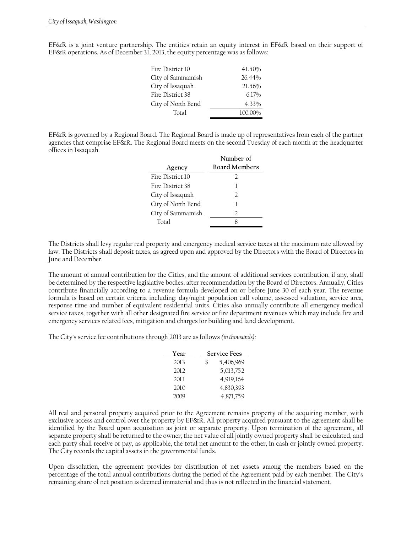EF&R is a joint venture partnership. The entities retain an equity interest in EF&R based on their support of EF&R operations. As of December 31, 2013, the equity percentage was as follows:

| Fire District 10   | 41.50%  |
|--------------------|---------|
| City of Sammamish  | 26.44%  |
| City of Issaquah   | 21.56%  |
| Fire District 38   | 6.17%   |
| City of North Bend | 4.33%   |
| Total              | 100.00% |

EF&R is governed by a Regional Board. The Regional Board is made up of representatives from each of the partner agencies that comprise EF&R. The Regional Board meets on the second Tuesday of each month at the headquarter offices in Issaquah.

|                    | Number of            |
|--------------------|----------------------|
| Agency             | <b>Board Members</b> |
| Fire District 10   | Э.                   |
| Fire District 38   |                      |
| City of Issaquah   | $\mathcal{I}$        |
| City of North Bend |                      |
| City of Sammamish  | 2                    |
| Total              |                      |

The Districts shall levy regular real property and emergency medical service taxes at the maximum rate allowed by law. The Districts shall deposit taxes, as agreed upon and approved by the Directors with the Board of Directors in June and December.

The amount of annual contribution for the Cities, and the amount of additional services contribution, if any, shall be determined by the respective legislative bodies, after recommendation by the Board of Directors. Annually, Cities contribute financially according to a revenue formula developed on or before June 30 of each year. The revenue formula is based on certain criteria including: day/night population call volume, assessed valuation, service area, response time and number of equivalent residential units. Cities also annually contribute all emergency medical service taxes, together with all other designated fire service or fire department revenues which may include fire and emergency services related fees, mitigation and charges for building and land development.

The City's service fee contributions through 2013 are as follows *(in thousands):*

| Year | <b>Service Fees</b> |
|------|---------------------|
| 2013 | \$<br>5,406,969     |
| 2012 | 5,013,752           |
| 2011 | 4,919,164           |
| 2010 | 4,830,393           |
| 2009 | 4,871,759           |

All real and personal property acquired prior to the Agreement remains property of the acquiring member, with exclusive access and control over the property by EF&R. All property acquired pursuant to the agreement shall be identified by the Board upon acquisition as joint or separate property. Upon termination of the agreement, all separate property shall be returned to the owner; the net value of all jointly owned property shall be calculated, and each party shall receive or pay, as applicable, the total net amount to the other, in cash or jointly owned property. The City records the capital assets in the governmental funds.

Upon dissolution, the agreement provides for distribution of net assets among the members based on the percentage of the total annual contributions during the period of the Agreement paid by each member. The City's remaining share of net position is deemed immaterial and thus is not reflected in the financial statement.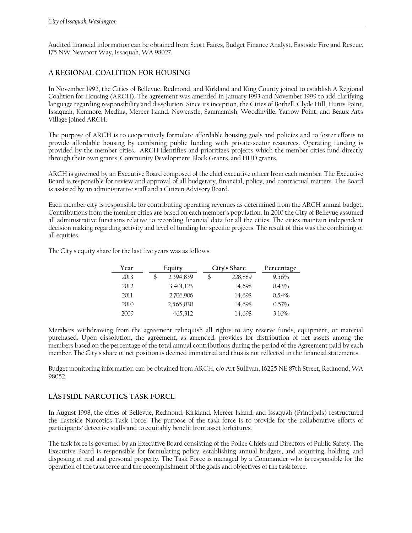Audited financial information can be obtained from Scott Faires, Budget Finance Analyst, Eastside Fire and Rescue, 175 NW Newport Way, Issaquah, WA 98027.

# **A REGIONAL COALITION FOR HOUSING**

In November 1992, the Cities of Bellevue, Redmond, and Kirkland and King County joined to establish A Regional Coalition for Housing (ARCH). The agreement was amended in January 1993 and November 1999 to add clarifying language regarding responsibility and dissolution. Since its inception, the Cities of Bothell, Clyde Hill, Hunts Point, Issaquah, Kenmore, Medina, Mercer Island, Newcastle, Sammamish, Woodinville, Yarrow Point, and Beaux Arts Village joined ARCH.

The purpose of ARCH is to cooperatively formulate affordable housing goals and policies and to foster efforts to provide affordable housing by combining public funding with private-sector resources. Operating funding is provided by the member cities. ARCH identifies and prioritizes projects which the member cities fund directly through their own grants, Community Development Block Grants, and HUD grants.

ARCH is governed by an Executive Board composed of the chief executive officer from each member. The Executive Board is responsible for review and approval of all budgetary, financial, policy, and contractual matters. The Board is assisted by an administrative staff and a Citizen Advisory Board.

Each member city is responsible for contributing operating revenues as determined from the ARCH annual budget. Contributions from the member cities are based on each member's population. In 2010 the City of Bellevue assumed all administrative functions relative to recording financial data for all the cities. The cities maintain independent decision making regarding activity and level of funding for specific projects. The result of this was the combining of all equities.

The City's equity share for the last five years was as follows:

| Year | Equity    |     | City's Share | Percentage |
|------|-----------|-----|--------------|------------|
| 2013 | 2,394,839 | \$. | 228,889      | $9.56\%$   |
| 2012 | 3,401,123 |     | 14,698       | $0.43\%$   |
| 2011 | 2,706,906 |     | 14,698       | $0.54\%$   |
| 2010 | 2,565,030 |     | 14,698       | 0.57%      |
| 2009 | 465,312   |     | 14,698       | 3.16%      |

Members withdrawing from the agreement relinquish all rights to any reserve funds, equipment, or material purchased. Upon dissolution, the agreement, as amended, provides for distribution of net assets among the members based on the percentage of the total annual contributions during the period of the Agreement paid by each member. The City's share of net position is deemed immaterial and thus is not reflected in the financial statements.

Budget monitoring information can be obtained from ARCH, c/o Art Sullivan, 16225 NE 87th Street, Redmond, WA 98052.

# **EASTSIDE NARCOTICS TASK FORCE**

In August 1998, the cities of Bellevue, Redmond, Kirkland, Mercer Island, and Issaquah (Principals) restructured the Eastside Narcotics Task Force. The purpose of the task force is to provide for the collaborative efforts of participants' detective staffs and to equitably benefit from asset forfeitures.

The task force is governed by an Executive Board consisting of the Police Chiefs and Directors of Public Safety. The Executive Board is responsible for formulating policy, establishing annual budgets, and acquiring, holding, and disposing of real and personal property. The Task Force is managed by a Commander who is responsible for the operation of the task force and the accomplishment of the goals and objectives of the task force.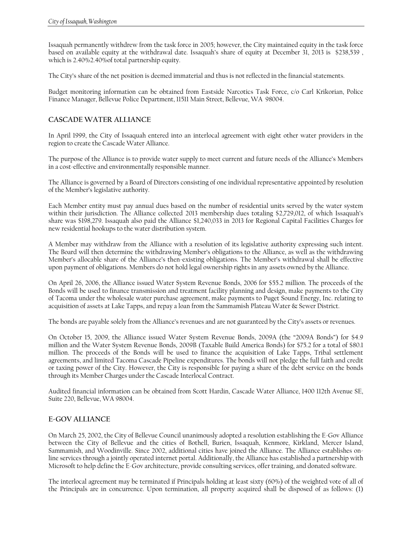Issaquah permanently withdrew from the task force in 2005; however, the City maintained equity in the task force based on available equity at the withdrawal date. Issaquah's share of equity at December 31, 2013 is \$238,539 , which is 2.40%2.40%of total partnership equity.

The City's share of the net position is deemed immaterial and thus is not reflected in the financial statements.

Budget monitoring information can be obtained from Eastside Narcotics Task Force, c/o Carl Krikorian, Police Finance Manager, Bellevue Police Department, 11511 Main Street, Bellevue, WA 98004.

## **CASCADE WATER ALLIANCE**

In April 1999, the City of Issaquah entered into an interlocal agreement with eight other water providers in the region to create the Cascade Water Alliance.

The purpose of the Alliance is to provide water supply to meet current and future needs of the Alliance's Members in a cost-effective and environmentally responsible manner.

The Alliance is governed by a Board of Directors consisting of one individual representative appointed by resolution of the Member's legislative authority.

Each Member entity must pay annual dues based on the number of residential units served by the water system within their jurisdiction. The Alliance collected 2013 membership dues totaling \$2,729,012, of which Issaquah's share was \$198,279. Issaquah also paid the Alliance \$1,240,033 in 2013 for Regional Capital Facilities Charges for new residential hookups to the water distribution system.

A Member may withdraw from the Alliance with a resolution of its legislative authority expressing such intent. The Board will then determine the withdrawing Member's obligations to the Alliance, as well as the withdrawing Member's allocable share of the Alliance's then-existing obligations. The Member's withdrawal shall be effective upon payment of obligations. Members do not hold legal ownership rights in any assets owned by the Alliance.

On April 26, 2006, the Alliance issued Water System Revenue Bonds, 2006 for \$55.2 million. The proceeds of the Bonds will be used to finance transmission and treatment facility planning and design, make payments to the City of Tacoma under the wholesale water purchase agreement, make payments to Puget Sound Energy, Inc. relating to acquisition of assets at Lake Tapps, and repay a loan from the Sammamish Plateau Water & Sewer District.

The bonds are payable solely from the Alliance's revenues and are not guaranteed by the City's assets or revenues.

On October 15, 2009, the Alliance issued Water System Revenue Bonds, 2009A (the "2009A Bonds") for \$4.9 million and the Water System Revenue Bonds, 2009B (Taxable Build America Bonds) for \$75.2 for a total of \$80.1 million. The proceeds of the Bonds will be used to finance the acquisition of Lake Tapps, Tribal settlement agreements, and limited Tacoma Cascade Pipeline expenditures. The bonds will not pledge the full faith and credit or taxing power of the City. However, the City is responsible for paying a share of the debt service on the bonds through its Member Charges under the Cascade Interlocal Contract.

Audited financial information can be obtained from Scott Hardin, Cascade Water Alliance, 1400 112th Avenue SE, Suite 220, Bellevue, WA 98004.

#### **E-GOV ALLIANCE**

On March 25, 2002, the City of Bellevue Council unanimously adopted a resolution establishing the E-Gov Alliance between the City of Bellevue and the cities of Bothell, Burien, Issaquah, Kenmore, Kirkland, Mercer Island, Sammamish, and Woodinville. Since 2002, additional cities have joined the Alliance. The Alliance establishes online services through a jointly operated internet portal. Additionally, the Alliance has established a partnership with Microsoft to help define the E-Gov architecture, provide consulting services, offer training, and donated software.

The interlocal agreement may be terminated if Principals holding at least sixty (60%) of the weighted vote of all of the Principals are in concurrence. Upon termination, all property acquired shall be disposed of as follows: (1)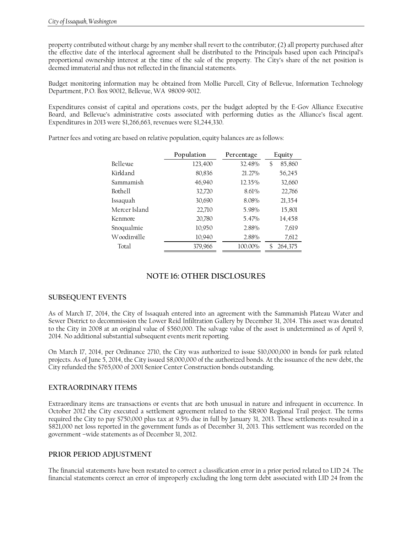property contributed without charge by any member shall revert to the contributor; (2) all property purchased after the effective date of the interlocal agreement shall be distributed to the Principals based upon each Principal's proportional ownership interest at the time of the sale of the property. The City's share of the net position is deemed immaterial and thus not reflected in the financial statements.

Budget monitoring information may be obtained from Mollie Purcell, City of Bellevue, Information Technology Department, P.O. Box 90012, Bellevue, WA 98009-9012.

Expenditures consist of capital and operations costs, per the budget adopted by the E-Gov Alliance Executive Board, and Bellevue's administrative costs associated with performing duties as the Alliance's fiscal agent. Expenditures in 2013 were \$1,266,663, revenues were \$1,244,330.

|                 | Population | Percentage | Equity       |
|-----------------|------------|------------|--------------|
| <b>Bellevie</b> | 123,400    | 32.48%     | 85,860<br>\$ |
| Kirkland        | 80,836     | 21.27%     | 56,245       |
| Sammamish       | 46,940     | 12.35%     | 32,660       |
| <b>Bothell</b>  | 32,720     | 8.61%      | 22,766       |
| Issaquah        | 30,690     | 8.08%      | 21,354       |
| Mercer Island   | 22,710     | 5.98%      | 15,801       |
| Kenmore         | 20,780     | $5.47\%$   | 14,458       |
| Snoqualmie      | 10,950     | 2.88%      | 7,619        |
| Woodinville     | 10,940     | 2.88%      | 7,612        |
| Total           | 379,966    | 100.00%    | 264,375      |
|                 |            |            |              |

Partner fees and voting are based on relative population, equity balances are as follows:

# **NOTE 16: OTHER DISCLOSURES**

# **SUBSEQUENT EVENTS**

As of March 17, 2014, the City of Issaquah entered into an agreement with the Sammamish Plateau Water and Sewer District to decommission the Lower Reid Infiltration Gallery by December 31, 2014. This asset was donated to the City in 2008 at an original value of \$560,000. The salvage value of the asset is undetermined as of April 9, 2014. No additional substantial subsequent events merit reporting.

On March 17, 2014, per Ordinance 2710, the City was authorized to issue \$10,000,000 in bonds for park related projects. As of June 5, 2014, the City issued \$8,000,000 of the authorized bonds. At the issuance of the new debt, the City refunded the \$765,000 of 2001 Senior Center Construction bonds outstanding.

# **EXTRAORDINARY ITEMS**

Extraordinary items are transactions or events that are both unusual in nature and infrequent in occurrence. In October 2012 the City executed a settlement agreement related to the SR900 Regional Trail project. The terms required the City to pay \$750,000 plus tax at 9.5% due in full by January 31, 2013. These settlements resulted in a \$821,000 net loss reported in the government funds as of December 31, 2013. This settlement was recorded on the government –wide statements as of December 31, 2012.

# **PRIOR PERIOD ADJUSTMENT**

The financial statements have been restated to correct a classification error in a prior period related to LID 24. The financial statements correct an error of improperly excluding the long term debt associated with LID 24 from the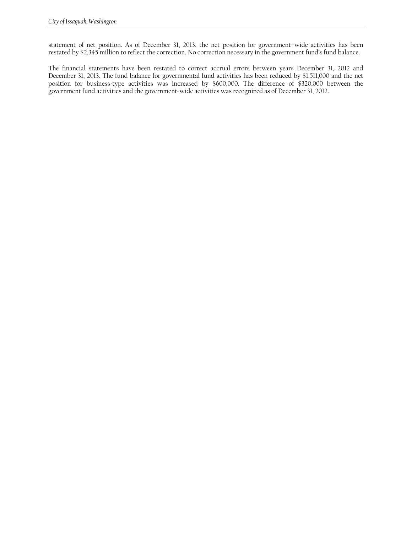statement of net position. As of December 31, 2013, the net position for government–wide activities has been restated by \$2.345 million to reflect the correction. No correction necessary in the government fund's fund balance.

The financial statements have been restated to correct accrual errors between years December 31, 2012 and December 31, 2013. The fund balance for governmental fund activities has been reduced by \$1,511,000 and the net position for business-type activities was increased by \$600,000. The difference of \$320,000 between the government fund activities and the government-wide activities was recognized as of December 31, 2012.